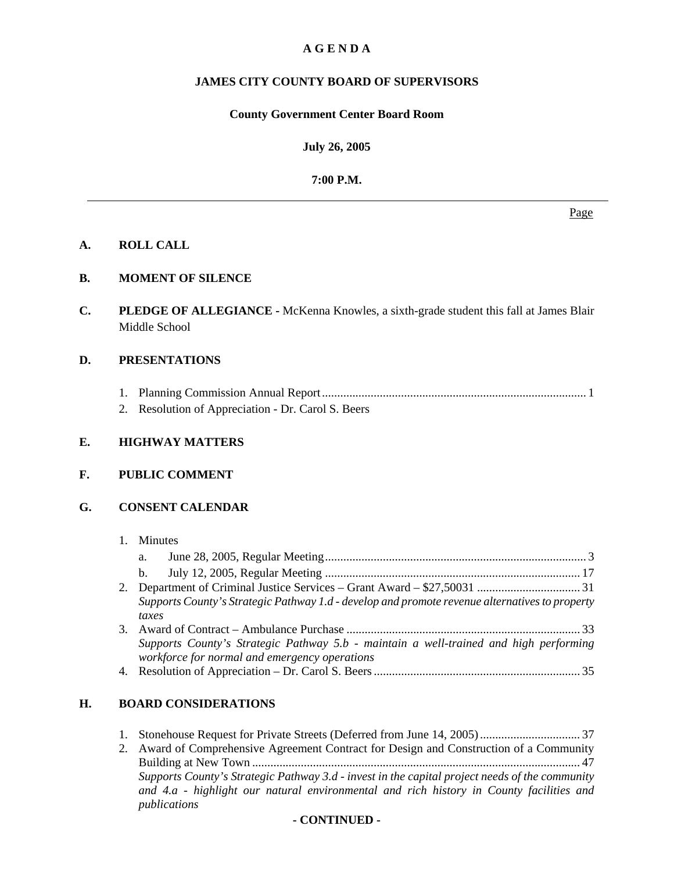## **A G E N D A**

## **JAMES CITY COUNTY BOARD OF SUPERVISORS**

#### **County Government Center Board Room**

**July 26, 2005**

**7:00 P.M.**

**A. ROLL CALL** 

## **B. MOMENT OF SILENCE**

**C. PLEDGE OF ALLEGIANCE -** McKenna Knowles, a sixth-grade student this fall at James Blair Middle School

## **D. PRESENTATIONS**

- 1. Planning Commission Annual Report ....................................................................................... 1
- 2. Resolution of Appreciation Dr. Carol S. Beers

## **E. HIGHWAY MATTERS**

## **F. PUBLIC COMMENT**

## **G. CONSENT CALENDAR**

## 1. Minutes

|    | a.                                                                                             |  |
|----|------------------------------------------------------------------------------------------------|--|
|    | $b_{1}$                                                                                        |  |
|    |                                                                                                |  |
|    | Supports County's Strategic Pathway 1.d - develop and promote revenue alternatives to property |  |
|    | taxes                                                                                          |  |
| 3. |                                                                                                |  |
|    | Supports County's Strategic Pathway 5.b - maintain a well-trained and high performing          |  |
|    | workforce for normal and emergency operations                                                  |  |
|    | $\lambda$ n $\lambda$ is the non-                                                              |  |

4. Resolution of Appreciation – Dr. Carol S. Beers .................................................................... 35

## **H. BOARD CONSIDERATIONS**

| 2. Award of Comprehensive Agreement Contract for Design and Construction of a Community        |
|------------------------------------------------------------------------------------------------|
|                                                                                                |
| Supports County's Strategic Pathway 3.d - invest in the capital project needs of the community |
| and 4.a - highlight our natural environmental and rich history in County facilities and        |
| publications                                                                                   |

Page and the state of the state of the state of the state of the state of the state of the state of the state of the state of the state of the state of the state of the state of the state of the state of the state of the s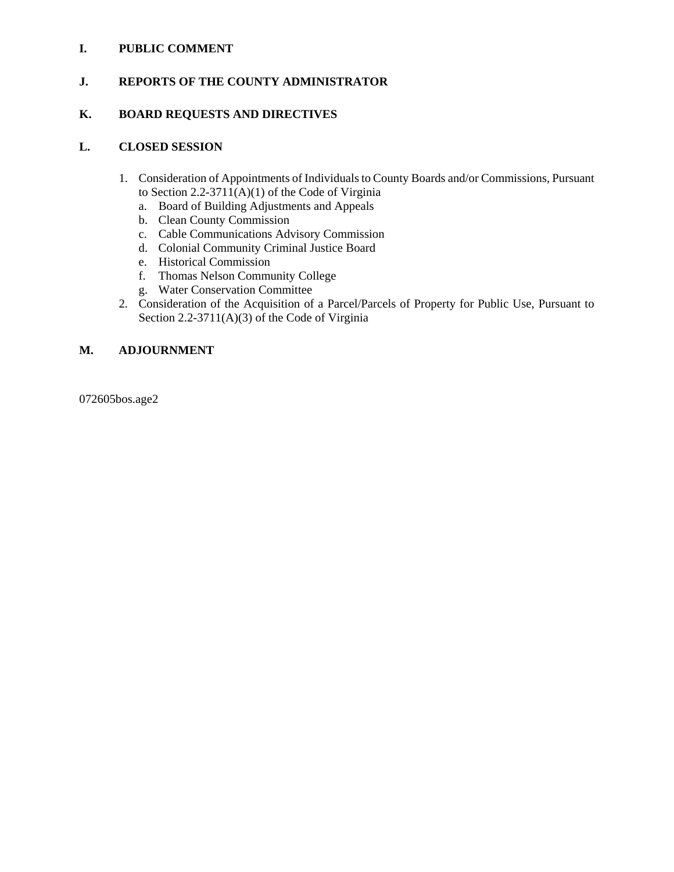## **I. PUBLIC COMMENT**

## **J. REPORTS OF THE COUNTY ADMINISTRATOR**

## **K. BOARD REQUESTS AND DIRECTIVES**

## **L. CLOSED SESSION**

- 1. Consideration of Appointments of Individuals to County Boards and/or Commissions, Pursuant to Section 2.2-3711(A)(1) of the Code of Virginia
	- a. Board of Building Adjustments and Appeals
	- b. Clean County Commission
	- c. Cable Communications Advisory Commission
	- d. Colonial Community Criminal Justice Board
	- e. Historical Commission
	- f. Thomas Nelson Community College
	- g. Water Conservation Committee
- 2. Consideration of the Acquisition of a Parcel/Parcels of Property for Public Use, Pursuant to Section 2.2-3711(A)(3) of the Code of Virginia

## **M. ADJOURNMENT**

072605bos.age2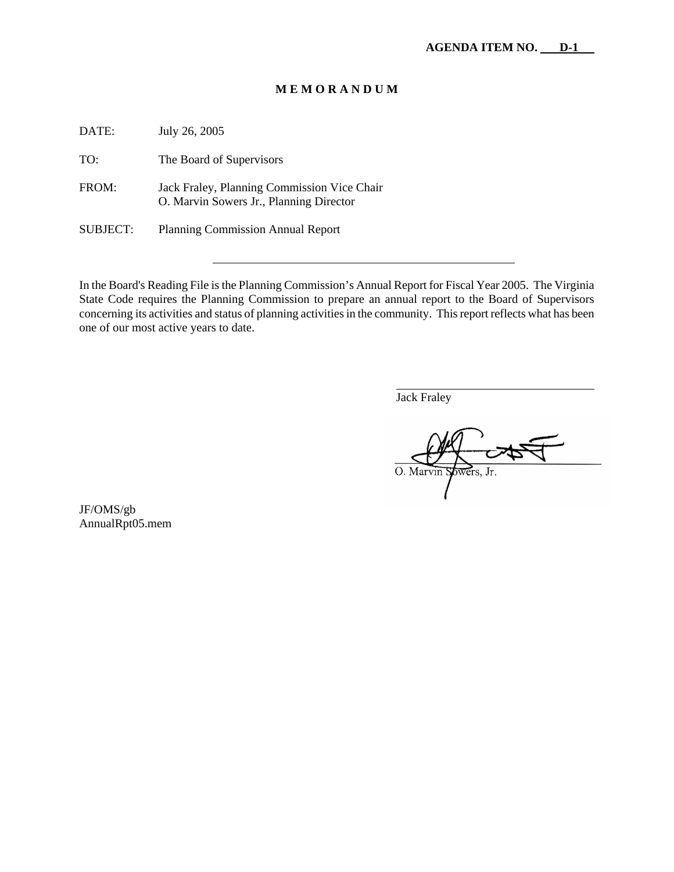#### **M E M O R A N D U M**

DATE: July 26, 2005 TO: The Board of Supervisors FROM: Jack Fraley, Planning Commission Vice Chair O. Marvin Sowers Jr., Planning Director SUBJECT: Planning Commission Annual Report

In the Board's Reading File is the Planning Commission's Annual Report for Fiscal Year 2005. The Virginia State Code requires the Planning Commission to prepare an annual report to the Board of Supervisors concerning its activities and status of planning activities in the community. This report reflects what has been one of our most active years to date.

Jack Fraley

 $\overline{a}$ 

O. Marvin wers, Jr.

JF/OMS/gb AnnualRpt05.mem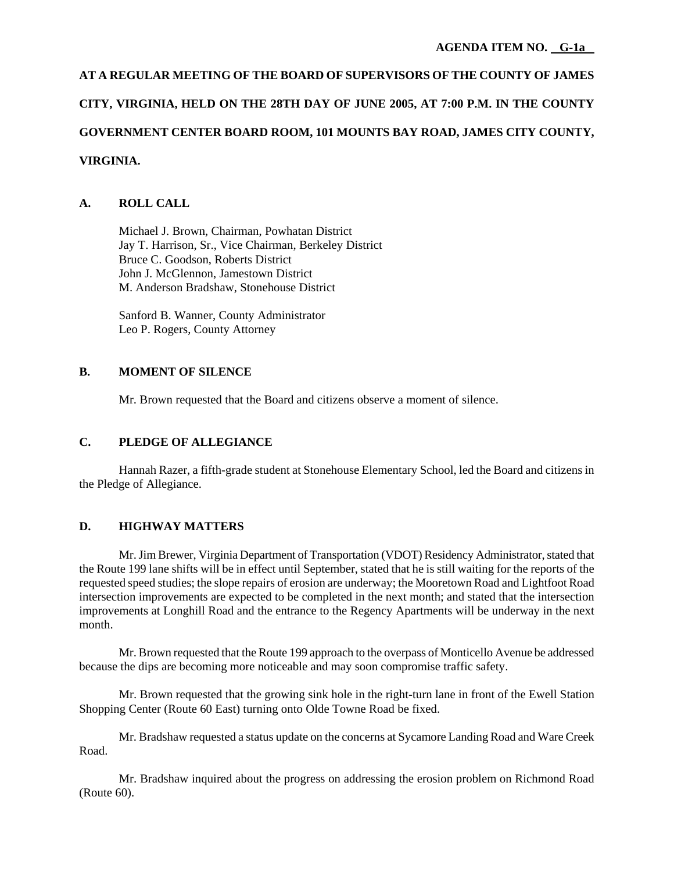# **AT A REGULAR MEETING OF THE BOARD OF SUPERVISORS OF THE COUNTY OF JAMES CITY, VIRGINIA, HELD ON THE 28TH DAY OF JUNE 2005, AT 7:00 P.M. IN THE COUNTY GOVERNMENT CENTER BOARD ROOM, 101 MOUNTS BAY ROAD, JAMES CITY COUNTY, VIRGINIA.**

## **A. ROLL CALL**

 Michael J. Brown, Chairman, Powhatan District Jay T. Harrison, Sr., Vice Chairman, Berkeley District Bruce C. Goodson, Roberts District John J. McGlennon, Jamestown District M. Anderson Bradshaw, Stonehouse District

 Sanford B. Wanner, County Administrator Leo P. Rogers, County Attorney

## **B. MOMENT OF SILENCE**

Mr. Brown requested that the Board and citizens observe a moment of silence.

## **C. PLEDGE OF ALLEGIANCE**

 Hannah Razer, a fifth-grade student at Stonehouse Elementary School, led the Board and citizens in the Pledge of Allegiance.

## **D. HIGHWAY MATTERS**

 Mr. Jim Brewer, Virginia Department of Transportation (VDOT) Residency Administrator, stated that the Route 199 lane shifts will be in effect until September, stated that he is still waiting for the reports of the requested speed studies; the slope repairs of erosion are underway; the Mooretown Road and Lightfoot Road intersection improvements are expected to be completed in the next month; and stated that the intersection improvements at Longhill Road and the entrance to the Regency Apartments will be underway in the next month.

 Mr. Brown requested that the Route 199 approach to the overpass of Monticello Avenue be addressed because the dips are becoming more noticeable and may soon compromise traffic safety.

 Mr. Brown requested that the growing sink hole in the right-turn lane in front of the Ewell Station Shopping Center (Route 60 East) turning onto Olde Towne Road be fixed.

 Mr. Bradshaw requested a status update on the concerns at Sycamore Landing Road and Ware Creek Road.

 Mr. Bradshaw inquired about the progress on addressing the erosion problem on Richmond Road (Route 60).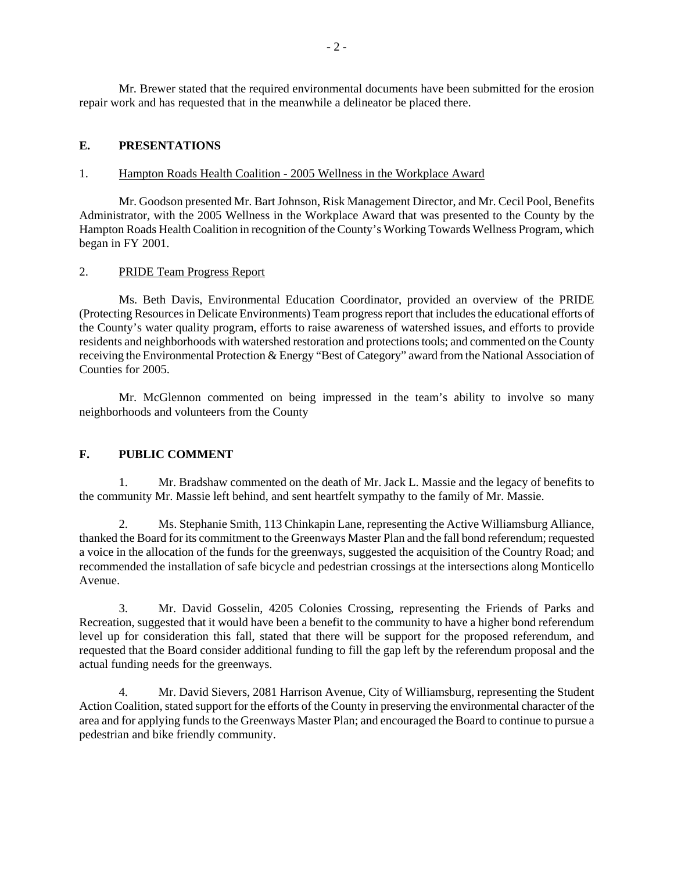Mr. Brewer stated that the required environmental documents have been submitted for the erosion repair work and has requested that in the meanwhile a delineator be placed there.

## **E. PRESENTATIONS**

#### 1. Hampton Roads Health Coalition - 2005 Wellness in the Workplace Award

 Mr. Goodson presented Mr. Bart Johnson, Risk Management Director, and Mr. Cecil Pool, Benefits Administrator, with the 2005 Wellness in the Workplace Award that was presented to the County by the Hampton Roads Health Coalition in recognition of the County's Working Towards Wellness Program, which began in FY 2001.

#### 2. PRIDE Team Progress Report

 Ms. Beth Davis, Environmental Education Coordinator, provided an overview of the PRIDE (Protecting Resources in Delicate Environments) Team progress report that includes the educational efforts of the County's water quality program, efforts to raise awareness of watershed issues, and efforts to provide residents and neighborhoods with watershed restoration and protections tools; and commented on the County receiving the Environmental Protection & Energy "Best of Category" award from the National Association of Counties for 2005.

 Mr. McGlennon commented on being impressed in the team's ability to involve so many neighborhoods and volunteers from the County

## **F. PUBLIC COMMENT**

 1. Mr. Bradshaw commented on the death of Mr. Jack L. Massie and the legacy of benefits to the community Mr. Massie left behind, and sent heartfelt sympathy to the family of Mr. Massie.

 2. Ms. Stephanie Smith, 113 Chinkapin Lane, representing the Active Williamsburg Alliance, thanked the Board for its commitment to the Greenways Master Plan and the fall bond referendum; requested a voice in the allocation of the funds for the greenways, suggested the acquisition of the Country Road; and recommended the installation of safe bicycle and pedestrian crossings at the intersections along Monticello Avenue.

 3. Mr. David Gosselin, 4205 Colonies Crossing, representing the Friends of Parks and Recreation, suggested that it would have been a benefit to the community to have a higher bond referendum level up for consideration this fall, stated that there will be support for the proposed referendum, and requested that the Board consider additional funding to fill the gap left by the referendum proposal and the actual funding needs for the greenways.

 4. Mr. David Sievers, 2081 Harrison Avenue, City of Williamsburg, representing the Student Action Coalition, stated support for the efforts of the County in preserving the environmental character of the area and for applying funds to the Greenways Master Plan; and encouraged the Board to continue to pursue a pedestrian and bike friendly community.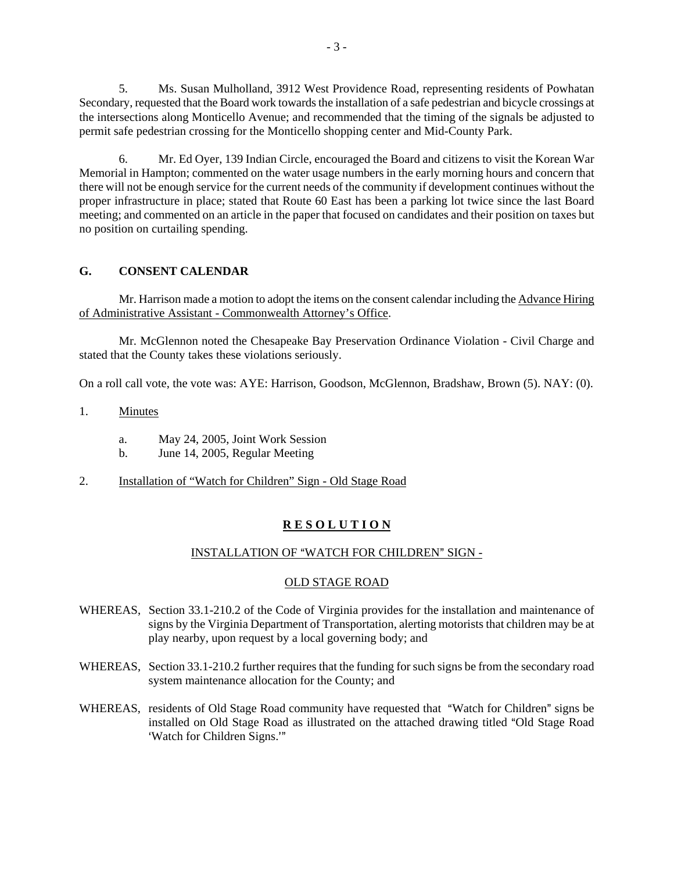5. Ms. Susan Mulholland, 3912 West Providence Road, representing residents of Powhatan Secondary, requested that the Board work towards the installation of a safe pedestrian and bicycle crossings at the intersections along Monticello Avenue; and recommended that the timing of the signals be adjusted to permit safe pedestrian crossing for the Monticello shopping center and Mid-County Park.

 6. Mr. Ed Oyer, 139 Indian Circle, encouraged the Board and citizens to visit the Korean War Memorial in Hampton; commented on the water usage numbers in the early morning hours and concern that there will not be enough service for the current needs of the community if development continues without the proper infrastructure in place; stated that Route 60 East has been a parking lot twice since the last Board meeting; and commented on an article in the paper that focused on candidates and their position on taxes but no position on curtailing spending.

## **G. CONSENT CALENDAR**

 Mr. Harrison made a motion to adopt the items on the consent calendar including the Advance Hiring of Administrative Assistant - Commonwealth Attorney's Office.

 Mr. McGlennon noted the Chesapeake Bay Preservation Ordinance Violation - Civil Charge and stated that the County takes these violations seriously.

On a roll call vote, the vote was: AYE: Harrison, Goodson, McGlennon, Bradshaw, Brown (5). NAY: (0).

- 1. Minutes
	- a. May 24, 2005, Joint Work Session
	- b. June 14, 2005, Regular Meeting
- 2. Installation of "Watch for Children" Sign Old Stage Road

## **R E S O L U T I O N**

#### INSTALLATION OF "WATCH FOR CHILDREN" SIGN -

#### OLD STAGE ROAD

- WHEREAS, Section 33.1-210.2 of the Code of Virginia provides for the installation and maintenance of signs by the Virginia Department of Transportation, alerting motorists that children may be at play nearby, upon request by a local governing body; and
- WHEREAS, Section 33.1-210.2 further requires that the funding for such signs be from the secondary road system maintenance allocation for the County; and
- WHEREAS, residents of Old Stage Road community have requested that "Watch for Children" signs be installed on Old Stage Road as illustrated on the attached drawing titled "Old Stage Road" 'Watch for Children Signs."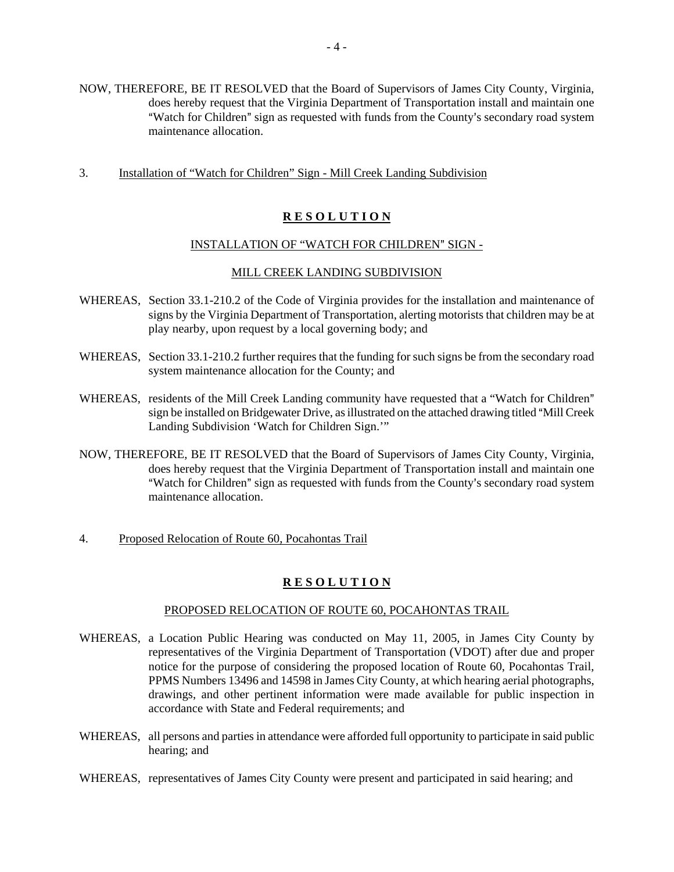- NOW, THEREFORE, BE IT RESOLVED that the Board of Supervisors of James City County, Virginia, does hereby request that the Virginia Department of Transportation install and maintain one "Watch for Children" sign as requested with funds from the County's secondary road system maintenance allocation.
- 3. Installation of "Watch for Children" Sign Mill Creek Landing Subdivision

## **R E S O L U T I O N**

#### INSTALLATION OF "WATCH FOR CHILDREN" SIGN -

#### MILL CREEK LANDING SUBDIVISION

- WHEREAS, Section 33.1-210.2 of the Code of Virginia provides for the installation and maintenance of signs by the Virginia Department of Transportation, alerting motorists that children may be at play nearby, upon request by a local governing body; and
- WHEREAS, Section 33.1-210.2 further requires that the funding for such signs be from the secondary road system maintenance allocation for the County; and
- WHEREAS, residents of the Mill Creek Landing community have requested that a "Watch for Children" sign be installed on Bridgewater Drive, as illustrated on the attached drawing titled "Mill Creek" Landing Subdivision 'Watch for Children Sign.'"
- NOW, THEREFORE, BE IT RESOLVED that the Board of Supervisors of James City County, Virginia, does hereby request that the Virginia Department of Transportation install and maintain one "Watch for Children" sign as requested with funds from the County's secondary road system maintenance allocation.
- 4. Proposed Relocation of Route 60, Pocahontas Trail

## **R E S O L U T I O N**

#### PROPOSED RELOCATION OF ROUTE 60, POCAHONTAS TRAIL

- WHEREAS, a Location Public Hearing was conducted on May 11, 2005, in James City County by representatives of the Virginia Department of Transportation (VDOT) after due and proper notice for the purpose of considering the proposed location of Route 60, Pocahontas Trail, PPMS Numbers 13496 and 14598 in James City County, at which hearing aerial photographs, drawings, and other pertinent information were made available for public inspection in accordance with State and Federal requirements; and
- WHEREAS, all persons and parties in attendance were afforded full opportunity to participate in said public hearing; and
- WHEREAS, representatives of James City County were present and participated in said hearing; and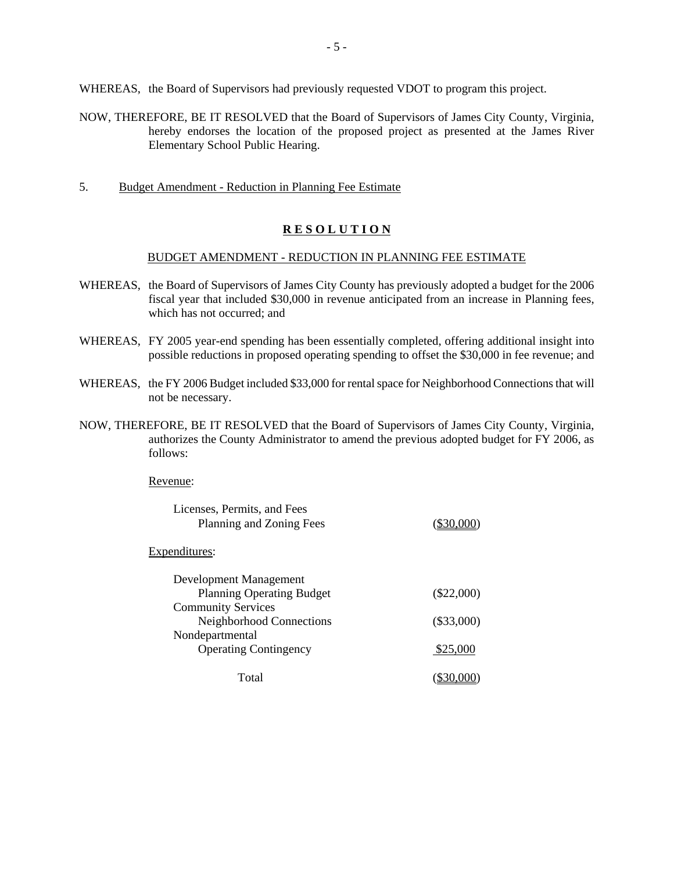WHEREAS, the Board of Supervisors had previously requested VDOT to program this project.

- NOW, THEREFORE, BE IT RESOLVED that the Board of Supervisors of James City County, Virginia, hereby endorses the location of the proposed project as presented at the James River Elementary School Public Hearing.
- 5. Budget Amendment Reduction in Planning Fee Estimate

## **R E S O L U T I O N**

#### BUDGET AMENDMENT - REDUCTION IN PLANNING FEE ESTIMATE

- WHEREAS, the Board of Supervisors of James City County has previously adopted a budget for the 2006 fiscal year that included \$30,000 in revenue anticipated from an increase in Planning fees, which has not occurred; and
- WHEREAS, FY 2005 year-end spending has been essentially completed, offering additional insight into possible reductions in proposed operating spending to offset the \$30,000 in fee revenue; and
- WHEREAS, the FY 2006 Budget included \$33,000 for rental space for Neighborhood Connections that will not be necessary.
- NOW, THEREFORE, BE IT RESOLVED that the Board of Supervisors of James City County, Virginia, authorizes the County Administrator to amend the previous adopted budget for FY 2006, as follows:

Revenue:

| Licenses, Permits, and Fees<br>Planning and Zoning Fees | $(\$30,000)$ |
|---------------------------------------------------------|--------------|
| Expenditures:                                           |              |
| Development Management                                  |              |
| <b>Planning Operating Budget</b>                        | $(\$22,000)$ |
| <b>Community Services</b>                               |              |
| Neighborhood Connections                                | $(\$33,000)$ |
| Nondepartmental                                         |              |
| <b>Operating Contingency</b>                            | \$25,000     |
| Total                                                   | \$30,000     |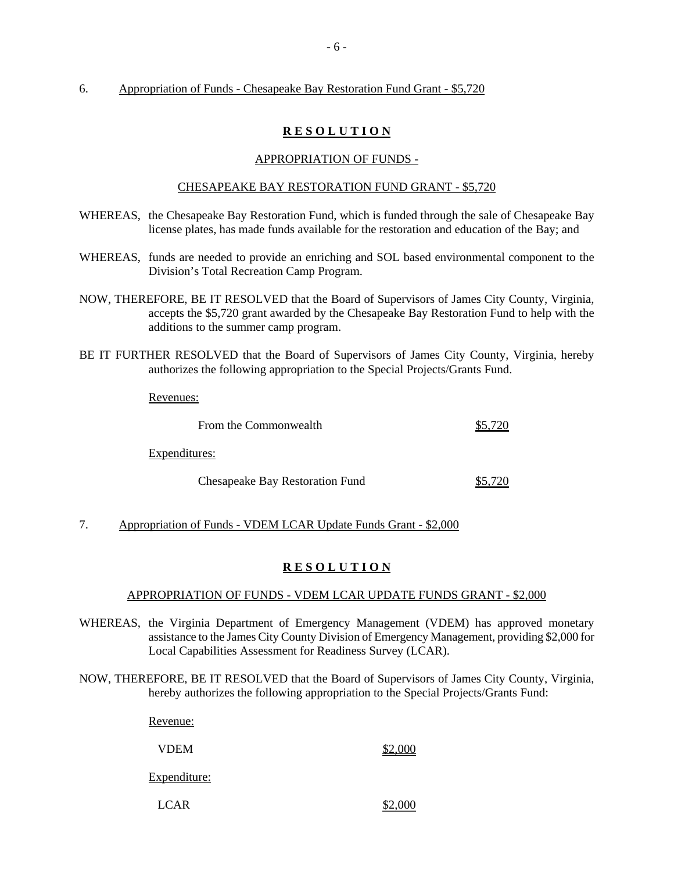#### 6. Appropriation of Funds - Chesapeake Bay Restoration Fund Grant - \$5,720

## **R E S O L U T I O N**

#### APPROPRIATION OF FUNDS -

#### CHESAPEAKE BAY RESTORATION FUND GRANT - \$5,720

- WHEREAS, the Chesapeake Bay Restoration Fund, which is funded through the sale of Chesapeake Bay license plates, has made funds available for the restoration and education of the Bay; and
- WHEREAS, funds are needed to provide an enriching and SOL based environmental component to the Division's Total Recreation Camp Program.
- NOW, THEREFORE, BE IT RESOLVED that the Board of Supervisors of James City County, Virginia, accepts the \$5,720 grant awarded by the Chesapeake Bay Restoration Fund to help with the additions to the summer camp program.
- BE IT FURTHER RESOLVED that the Board of Supervisors of James City County, Virginia, hereby authorizes the following appropriation to the Special Projects/Grants Fund.

Revenues:

| From the Commonwealth           |  |  |
|---------------------------------|--|--|
| Expenditures:                   |  |  |
| Chesapeake Bay Restoration Fund |  |  |

7. Appropriation of Funds - VDEM LCAR Update Funds Grant - \$2,000

## **R E S O L U T I O N**

## APPROPRIATION OF FUNDS - VDEM LCAR UPDATE FUNDS GRANT - \$2,000

- WHEREAS, the Virginia Department of Emergency Management (VDEM) has approved monetary assistance to the James City County Division of Emergency Management, providing \$2,000 for Local Capabilities Assessment for Readiness Survey (LCAR).
- NOW, THEREFORE, BE IT RESOLVED that the Board of Supervisors of James City County, Virginia, hereby authorizes the following appropriation to the Special Projects/Grants Fund:

Revenue:

 $VDEM$   $$2,000$ 

Expenditure:

 $\angle$  LCAR  $\angle$  2,000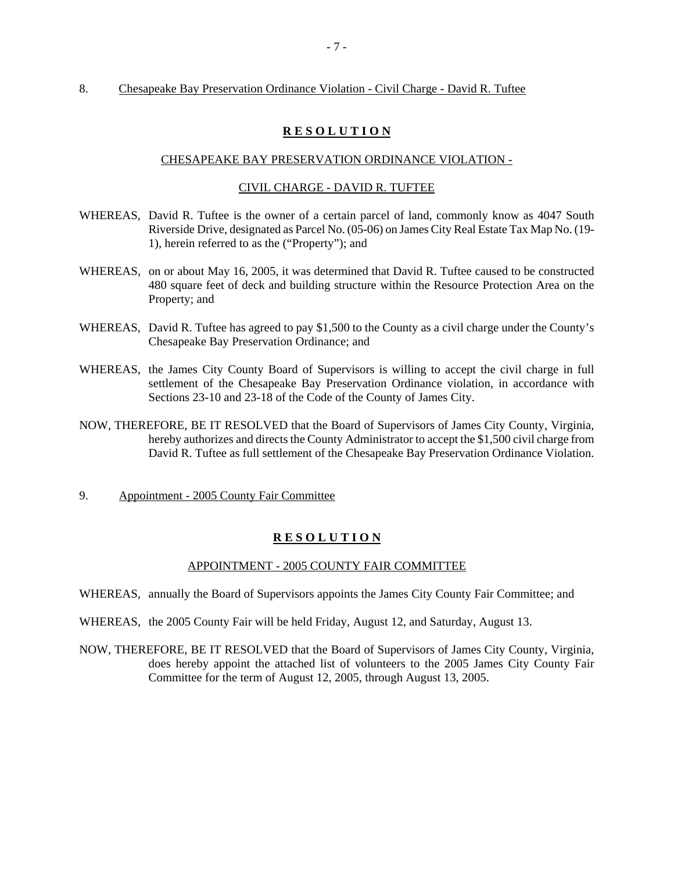#### 8. Chesapeake Bay Preservation Ordinance Violation - Civil Charge - David R. Tuftee

#### **R E S O L U T I O N**

#### CHESAPEAKE BAY PRESERVATION ORDINANCE VIOLATION -

#### CIVIL CHARGE - DAVID R. TUFTEE

- WHEREAS, David R. Tuftee is the owner of a certain parcel of land, commonly know as 4047 South Riverside Drive, designated as Parcel No. (05-06) on James City Real Estate Tax Map No. (19- 1), herein referred to as the ("Property"); and
- WHEREAS, on or about May 16, 2005, it was determined that David R. Tuftee caused to be constructed 480 square feet of deck and building structure within the Resource Protection Area on the Property; and
- WHEREAS, David R. Tuftee has agreed to pay \$1,500 to the County as a civil charge under the County's Chesapeake Bay Preservation Ordinance; and
- WHEREAS, the James City County Board of Supervisors is willing to accept the civil charge in full settlement of the Chesapeake Bay Preservation Ordinance violation, in accordance with Sections 23-10 and 23-18 of the Code of the County of James City.
- NOW, THEREFORE, BE IT RESOLVED that the Board of Supervisors of James City County, Virginia, hereby authorizes and directs the County Administrator to accept the \$1,500 civil charge from David R. Tuftee as full settlement of the Chesapeake Bay Preservation Ordinance Violation.
- 9. Appointment 2005 County Fair Committee

#### **R E S O L U T I O N**

#### APPOINTMENT - 2005 COUNTY FAIR COMMITTEE

WHEREAS, annually the Board of Supervisors appoints the James City County Fair Committee; and

- WHEREAS, the 2005 County Fair will be held Friday, August 12, and Saturday, August 13.
- NOW, THEREFORE, BE IT RESOLVED that the Board of Supervisors of James City County, Virginia, does hereby appoint the attached list of volunteers to the 2005 James City County Fair Committee for the term of August 12, 2005, through August 13, 2005.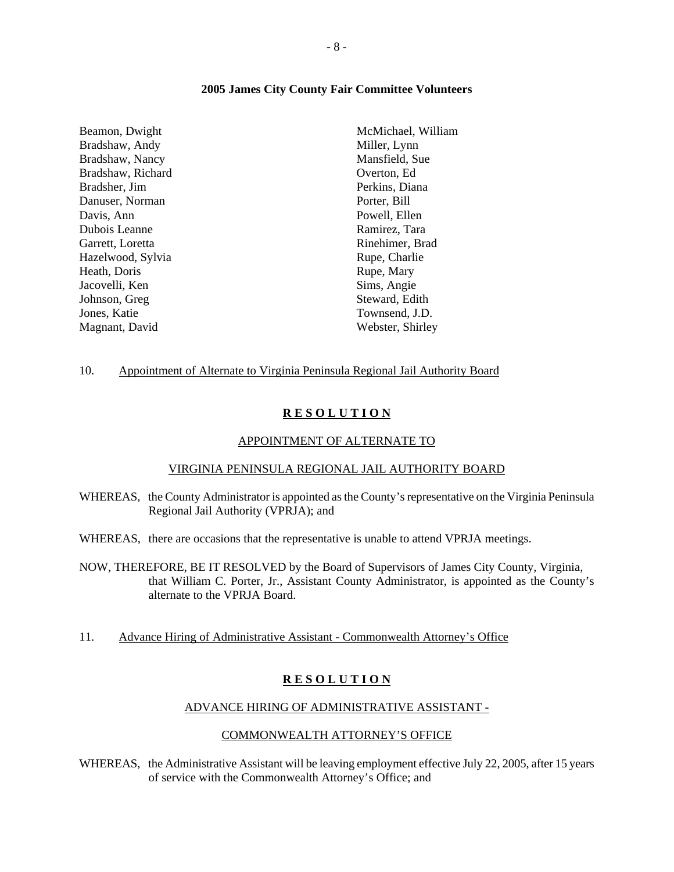#### **2005 James City County Fair Committee Volunteers**

Beamon, Dwight Bradshaw, Andy Bradshaw, Nancy Bradshaw, Richard Bradsher, Jim Danuser, Norman Davis, Ann Dubois Leanne Garrett, Loretta Hazelwood, Sylvia Heath, Doris Jacovelli, Ken Johnson, Greg Jones, Katie Magnant, David

McMichael, William Miller, Lynn Mansfield, Sue Overton, Ed Perkins, Diana Porter, Bill Powell, Ellen Ramirez, Tara Rinehimer, Brad Rupe, Charlie Rupe, Mary Sims, Angie Steward, Edith Townsend, J.D. Webster, Shirley

#### 10. Appointment of Alternate to Virginia Peninsula Regional Jail Authority Board

#### **R E S O L U T I O N**

#### APPOINTMENT OF ALTERNATE TO

#### VIRGINIA PENINSULA REGIONAL JAIL AUTHORITY BOARD

- WHEREAS, the County Administrator is appointed as the County's representative on the Virginia Peninsula Regional Jail Authority (VPRJA); and
- WHEREAS, there are occasions that the representative is unable to attend VPRJA meetings.
- NOW, THEREFORE, BE IT RESOLVED by the Board of Supervisors of James City County, Virginia, that William C. Porter, Jr., Assistant County Administrator, is appointed as the County's alternate to the VPRJA Board.
- 11. Advance Hiring of Administrative Assistant Commonwealth Attorney's Office

#### **R E S O L U T I O N**

#### ADVANCE HIRING OF ADMINISTRATIVE ASSISTANT -

#### COMMONWEALTH ATTORNEY'S OFFICE

WHEREAS, the Administrative Assistant will be leaving employment effective July 22, 2005, after 15 years of service with the Commonwealth Attorney's Office; and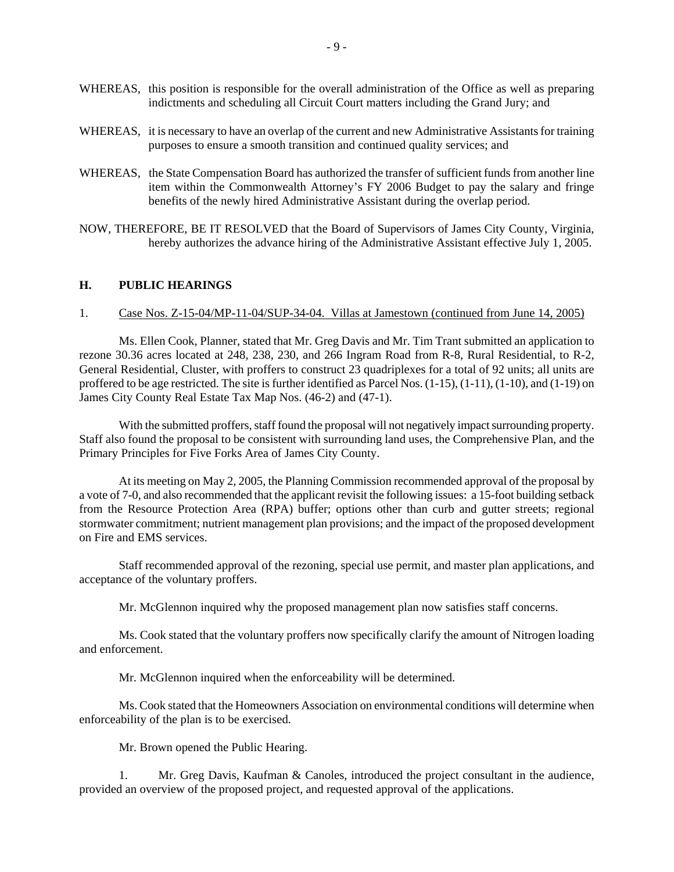- WHEREAS, this position is responsible for the overall administration of the Office as well as preparing indictments and scheduling all Circuit Court matters including the Grand Jury; and
- WHEREAS, it is necessary to have an overlap of the current and new Administrative Assistants for training purposes to ensure a smooth transition and continued quality services; and
- WHEREAS, the State Compensation Board has authorized the transfer of sufficient funds from another line item within the Commonwealth Attorney's FY 2006 Budget to pay the salary and fringe benefits of the newly hired Administrative Assistant during the overlap period.
- NOW, THEREFORE, BE IT RESOLVED that the Board of Supervisors of James City County, Virginia, hereby authorizes the advance hiring of the Administrative Assistant effective July 1, 2005.

## **H. PUBLIC HEARINGS**

#### 1. Case Nos. Z-15-04/MP-11-04/SUP-34-04. Villas at Jamestown (continued from June 14, 2005)

 Ms. Ellen Cook, Planner, stated that Mr. Greg Davis and Mr. Tim Trant submitted an application to rezone 30.36 acres located at 248, 238, 230, and 266 Ingram Road from R-8, Rural Residential, to R-2, General Residential, Cluster, with proffers to construct 23 quadriplexes for a total of 92 units; all units are proffered to be age restricted. The site is further identified as Parcel Nos. (1-15), (1-11), (1-10), and (1-19) on James City County Real Estate Tax Map Nos. (46-2) and (47-1).

 With the submitted proffers, staff found the proposal will not negatively impact surrounding property. Staff also found the proposal to be consistent with surrounding land uses, the Comprehensive Plan, and the Primary Principles for Five Forks Area of James City County.

 At its meeting on May 2, 2005, the Planning Commission recommended approval of the proposal by a vote of 7-0, and also recommended that the applicant revisit the following issues: a 15-foot building setback from the Resource Protection Area (RPA) buffer; options other than curb and gutter streets; regional stormwater commitment; nutrient management plan provisions; and the impact of the proposed development on Fire and EMS services.

 Staff recommended approval of the rezoning, special use permit, and master plan applications, and acceptance of the voluntary proffers.

Mr. McGlennon inquired why the proposed management plan now satisfies staff concerns.

 Ms. Cook stated that the voluntary proffers now specifically clarify the amount of Nitrogen loading and enforcement.

Mr. McGlennon inquired when the enforceability will be determined.

 Ms. Cook stated that the Homeowners Association on environmental conditions will determine when enforceability of the plan is to be exercised.

Mr. Brown opened the Public Hearing.

 1. Mr. Greg Davis, Kaufman & Canoles, introduced the project consultant in the audience, provided an overview of the proposed project, and requested approval of the applications.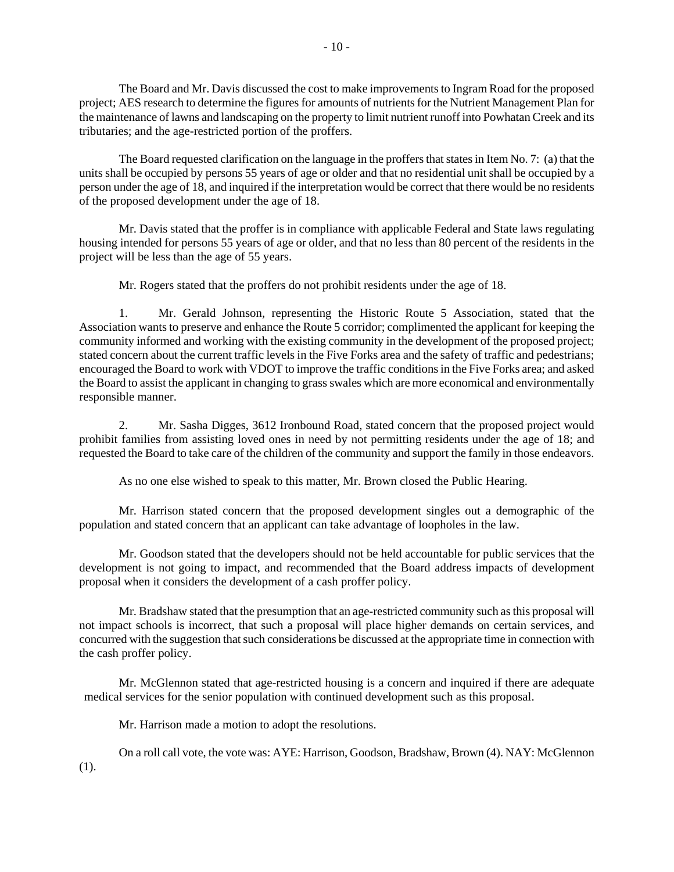The Board and Mr. Davis discussed the cost to make improvements to Ingram Road for the proposed project; AES research to determine the figures for amounts of nutrients for the Nutrient Management Plan for the maintenance of lawns and landscaping on the property to limit nutrient runoff into Powhatan Creek and its tributaries; and the age-restricted portion of the proffers.

 The Board requested clarification on the language in the proffers that states in Item No. 7: (a) that the units shall be occupied by persons 55 years of age or older and that no residential unit shall be occupied by a person under the age of 18, and inquired if the interpretation would be correct that there would be no residents of the proposed development under the age of 18.

 Mr. Davis stated that the proffer is in compliance with applicable Federal and State laws regulating housing intended for persons 55 years of age or older, and that no less than 80 percent of the residents in the project will be less than the age of 55 years.

Mr. Rogers stated that the proffers do not prohibit residents under the age of 18.

1. Mr. Gerald Johnson, representing the Historic Route 5 Association, stated that the Association wants to preserve and enhance the Route 5 corridor; complimented the applicant for keeping the community informed and working with the existing community in the development of the proposed project; stated concern about the current traffic levels in the Five Forks area and the safety of traffic and pedestrians; encouraged the Board to work with VDOT to improve the traffic conditions in the Five Forks area; and asked the Board to assist the applicant in changing to grass swales which are more economical and environmentally responsible manner.

2. Mr. Sasha Digges, 3612 Ironbound Road, stated concern that the proposed project would prohibit families from assisting loved ones in need by not permitting residents under the age of 18; and requested the Board to take care of the children of the community and support the family in those endeavors.

As no one else wished to speak to this matter, Mr. Brown closed the Public Hearing.

 Mr. Harrison stated concern that the proposed development singles out a demographic of the population and stated concern that an applicant can take advantage of loopholes in the law.

 Mr. Goodson stated that the developers should not be held accountable for public services that the development is not going to impact, and recommended that the Board address impacts of development proposal when it considers the development of a cash proffer policy.

 Mr. Bradshaw stated that the presumption that an age-restricted community such as this proposal will not impact schools is incorrect, that such a proposal will place higher demands on certain services, and concurred with the suggestion that such considerations be discussed at the appropriate time in connection with the cash proffer policy.

 Mr. McGlennon stated that age-restricted housing is a concern and inquired if there are adequate medical services for the senior population with continued development such as this proposal.

Mr. Harrison made a motion to adopt the resolutions.

 On a roll call vote, the vote was: AYE: Harrison, Goodson, Bradshaw, Brown (4). NAY: McGlennon (1).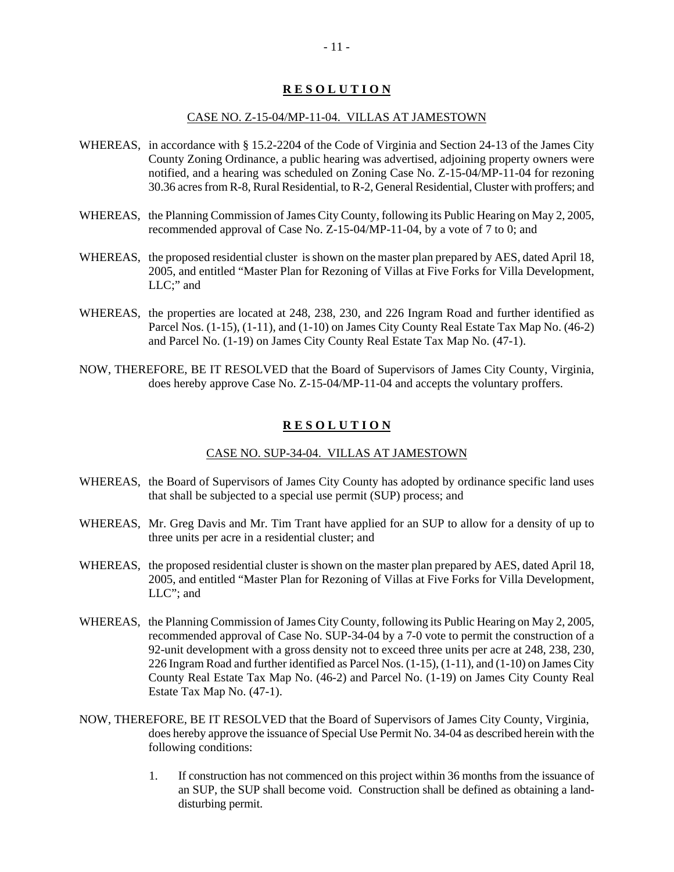## **R E S O L U T I O N**

#### CASE NO. Z-15-04/MP-11-04. VILLAS AT JAMESTOWN

- WHEREAS, in accordance with § 15.2-2204 of the Code of Virginia and Section 24-13 of the James City County Zoning Ordinance, a public hearing was advertised, adjoining property owners were notified, and a hearing was scheduled on Zoning Case No. Z-15-04/MP-11-04 for rezoning 30.36 acres from R-8, Rural Residential, to R-2, General Residential, Cluster with proffers; and
- WHEREAS, the Planning Commission of James City County, following its Public Hearing on May 2, 2005, recommended approval of Case No. Z-15-04/MP-11-04, by a vote of 7 to 0; and
- WHEREAS, the proposed residential cluster is shown on the master plan prepared by AES, dated April 18, 2005, and entitled "Master Plan for Rezoning of Villas at Five Forks for Villa Development, LLC;" and
- WHEREAS, the properties are located at 248, 238, 230, and 226 Ingram Road and further identified as Parcel Nos. (1-15), (1-11), and (1-10) on James City County Real Estate Tax Map No. (46-2) and Parcel No. (1-19) on James City County Real Estate Tax Map No. (47-1).
- NOW, THEREFORE, BE IT RESOLVED that the Board of Supervisors of James City County, Virginia, does hereby approve Case No. Z-15-04/MP-11-04 and accepts the voluntary proffers.

#### **R E S O L U T I O N**

#### CASE NO. SUP-34-04. VILLAS AT JAMESTOWN

- WHEREAS, the Board of Supervisors of James City County has adopted by ordinance specific land uses that shall be subjected to a special use permit (SUP) process; and
- WHEREAS, Mr. Greg Davis and Mr. Tim Trant have applied for an SUP to allow for a density of up to three units per acre in a residential cluster; and
- WHEREAS, the proposed residential cluster is shown on the master plan prepared by AES, dated April 18, 2005, and entitled "Master Plan for Rezoning of Villas at Five Forks for Villa Development, LLC"; and
- WHEREAS, the Planning Commission of James City County, following its Public Hearing on May 2, 2005, recommended approval of Case No. SUP-34-04 by a 7-0 vote to permit the construction of a 92-unit development with a gross density not to exceed three units per acre at 248, 238, 230, 226 Ingram Road and further identified as Parcel Nos. (1-15), (1-11), and (1-10) on James City County Real Estate Tax Map No. (46-2) and Parcel No. (1-19) on James City County Real Estate Tax Map No. (47-1).
- NOW, THEREFORE, BE IT RESOLVED that the Board of Supervisors of James City County, Virginia, does hereby approve the issuance of Special Use Permit No. 34-04 as described herein with the following conditions:
	- 1. If construction has not commenced on this project within 36 months from the issuance of an SUP, the SUP shall become void. Construction shall be defined as obtaining a landdisturbing permit.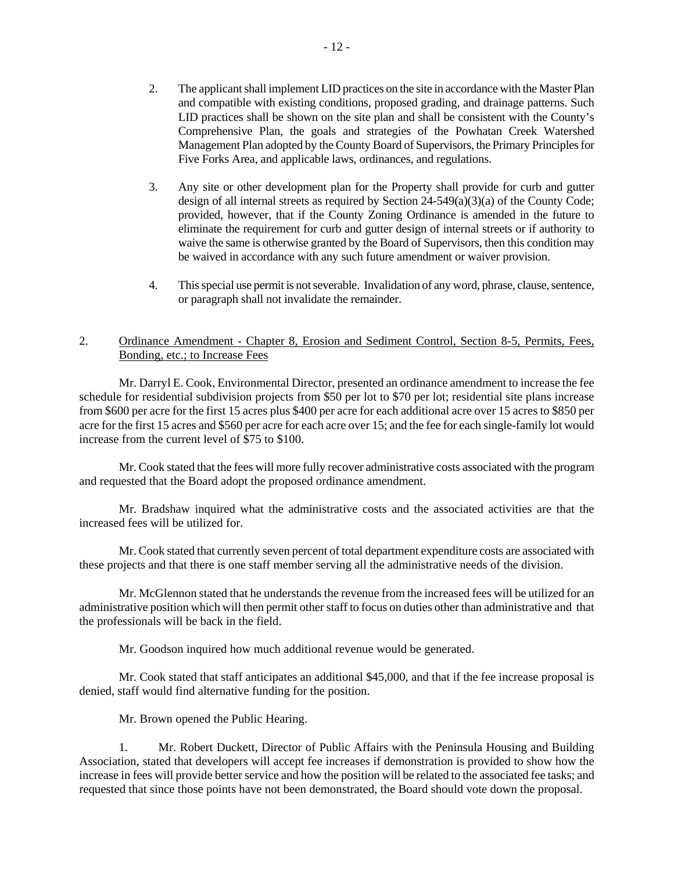- 2. The applicant shall implement LID practices on the site in accordance with the Master Plan and compatible with existing conditions, proposed grading, and drainage patterns. Such LID practices shall be shown on the site plan and shall be consistent with the County's Comprehensive Plan, the goals and strategies of the Powhatan Creek Watershed Management Plan adopted by the County Board of Supervisors, the Primary Principles for Five Forks Area, and applicable laws, ordinances, and regulations.
- 3. Any site or other development plan for the Property shall provide for curb and gutter design of all internal streets as required by Section  $24-549(a)(3)(a)$  of the County Code; provided, however, that if the County Zoning Ordinance is amended in the future to eliminate the requirement for curb and gutter design of internal streets or if authority to waive the same is otherwise granted by the Board of Supervisors, then this condition may be waived in accordance with any such future amendment or waiver provision.
- 4. This special use permit is not severable. Invalidation of any word, phrase, clause, sentence, or paragraph shall not invalidate the remainder.

## 2. Ordinance Amendment - Chapter 8, Erosion and Sediment Control, Section 8-5, Permits, Fees, Bonding, etc.; to Increase Fees

 Mr. Darryl E. Cook, Environmental Director, presented an ordinance amendment to increase the fee schedule for residential subdivision projects from \$50 per lot to \$70 per lot; residential site plans increase from \$600 per acre for the first 15 acres plus \$400 per acre for each additional acre over 15 acres to \$850 per acre for the first 15 acres and \$560 per acre for each acre over 15; and the fee for each single-family lot would increase from the current level of \$75 to \$100.

 Mr. Cook stated that the fees will more fully recover administrative costs associated with the program and requested that the Board adopt the proposed ordinance amendment.

 Mr. Bradshaw inquired what the administrative costs and the associated activities are that the increased fees will be utilized for.

 Mr. Cook stated that currently seven percent of total department expenditure costs are associated with these projects and that there is one staff member serving all the administrative needs of the division.

 Mr. McGlennon stated that he understands the revenue from the increased fees will be utilized for an administrative position which will then permit other staff to focus on duties other than administrative and that the professionals will be back in the field.

Mr. Goodson inquired how much additional revenue would be generated.

 Mr. Cook stated that staff anticipates an additional \$45,000, and that if the fee increase proposal is denied, staff would find alternative funding for the position.

Mr. Brown opened the Public Hearing.

 1. Mr. Robert Duckett, Director of Public Affairs with the Peninsula Housing and Building Association, stated that developers will accept fee increases if demonstration is provided to show how the increase in fees will provide better service and how the position will be related to the associated fee tasks; and requested that since those points have not been demonstrated, the Board should vote down the proposal.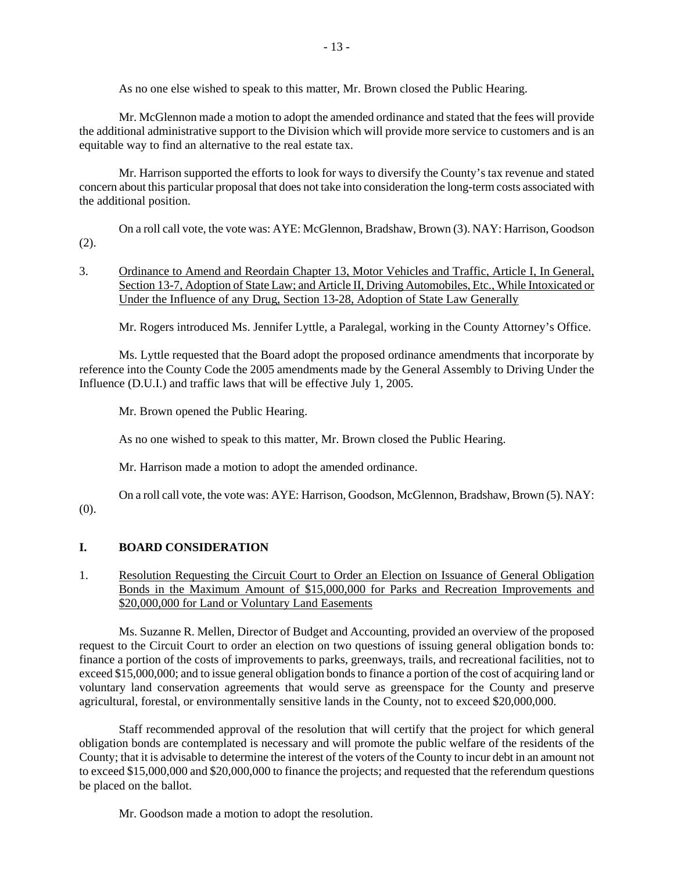As no one else wished to speak to this matter, Mr. Brown closed the Public Hearing.

 Mr. McGlennon made a motion to adopt the amended ordinance and stated that the fees will provide the additional administrative support to the Division which will provide more service to customers and is an equitable way to find an alternative to the real estate tax.

 Mr. Harrison supported the efforts to look for ways to diversify the County's tax revenue and stated concern about this particular proposal that does not take into consideration the long-term costs associated with the additional position.

 On a roll call vote, the vote was: AYE: McGlennon, Bradshaw, Brown (3). NAY: Harrison, Goodson (2).

## 3. Ordinance to Amend and Reordain Chapter 13, Motor Vehicles and Traffic, Article I, In General, Section 13-7, Adoption of State Law; and Article II, Driving Automobiles, Etc., While Intoxicated or Under the Influence of any Drug, Section 13-28, Adoption of State Law Generally

Mr. Rogers introduced Ms. Jennifer Lyttle, a Paralegal, working in the County Attorney's Office.

 Ms. Lyttle requested that the Board adopt the proposed ordinance amendments that incorporate by reference into the County Code the 2005 amendments made by the General Assembly to Driving Under the Influence (D.U.I.) and traffic laws that will be effective July 1, 2005.

Mr. Brown opened the Public Hearing.

As no one wished to speak to this matter, Mr. Brown closed the Public Hearing.

Mr. Harrison made a motion to adopt the amended ordinance.

 On a roll call vote, the vote was: AYE: Harrison, Goodson, McGlennon, Bradshaw, Brown (5). NAY: (0).

## **I. BOARD CONSIDERATION**

1. Resolution Requesting the Circuit Court to Order an Election on Issuance of General Obligation Bonds in the Maximum Amount of \$15,000,000 for Parks and Recreation Improvements and \$20,000,000 for Land or Voluntary Land Easements

 Ms. Suzanne R. Mellen, Director of Budget and Accounting, provided an overview of the proposed request to the Circuit Court to order an election on two questions of issuing general obligation bonds to: finance a portion of the costs of improvements to parks, greenways, trails, and recreational facilities, not to exceed \$15,000,000; and to issue general obligation bonds to finance a portion of the cost of acquiring land or voluntary land conservation agreements that would serve as greenspace for the County and preserve agricultural, forestal, or environmentally sensitive lands in the County, not to exceed \$20,000,000.

 Staff recommended approval of the resolution that will certify that the project for which general obligation bonds are contemplated is necessary and will promote the public welfare of the residents of the County; that it is advisable to determine the interest of the voters of the County to incur debt in an amount not to exceed \$15,000,000 and \$20,000,000 to finance the projects; and requested that the referendum questions be placed on the ballot.

Mr. Goodson made a motion to adopt the resolution.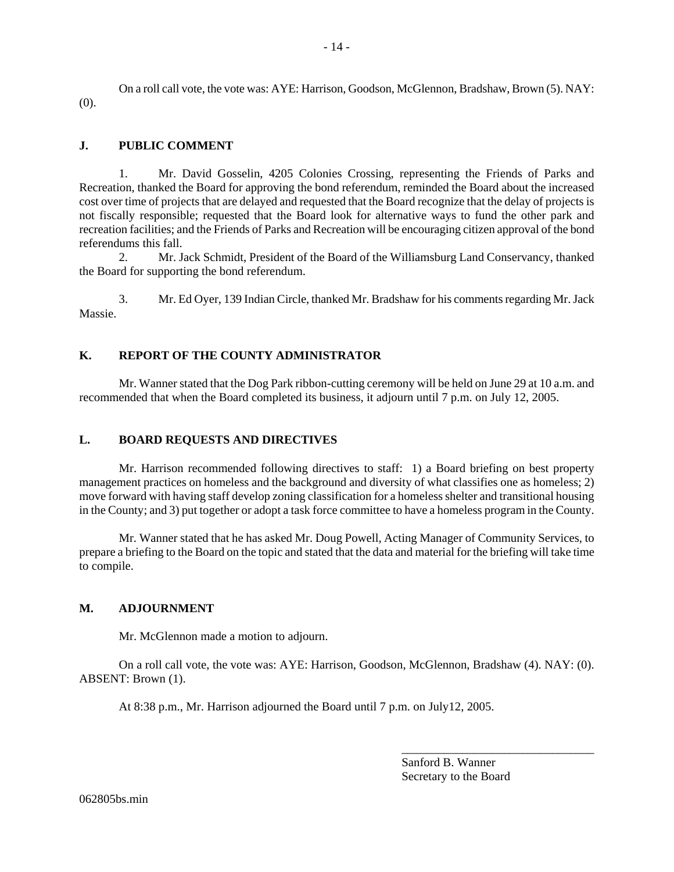On a roll call vote, the vote was: AYE: Harrison, Goodson, McGlennon, Bradshaw, Brown (5). NAY: (0).

## **J. PUBLIC COMMENT**

 1. Mr. David Gosselin, 4205 Colonies Crossing, representing the Friends of Parks and Recreation, thanked the Board for approving the bond referendum, reminded the Board about the increased cost over time of projects that are delayed and requested that the Board recognize that the delay of projects is not fiscally responsible; requested that the Board look for alternative ways to fund the other park and recreation facilities; and the Friends of Parks and Recreation will be encouraging citizen approval of the bond referendums this fall.

 2. Mr. Jack Schmidt, President of the Board of the Williamsburg Land Conservancy, thanked the Board for supporting the bond referendum.

 3. Mr. Ed Oyer, 139 Indian Circle, thanked Mr. Bradshaw for his comments regarding Mr. Jack Massie.

## **K. REPORT OF THE COUNTY ADMINISTRATOR**

 Mr. Wanner stated that the Dog Park ribbon-cutting ceremony will be held on June 29 at 10 a.m. and recommended that when the Board completed its business, it adjourn until 7 p.m. on July 12, 2005.

#### **L. BOARD REQUESTS AND DIRECTIVES**

 Mr. Harrison recommended following directives to staff: 1) a Board briefing on best property management practices on homeless and the background and diversity of what classifies one as homeless; 2) move forward with having staff develop zoning classification for a homeless shelter and transitional housing in the County; and 3) put together or adopt a task force committee to have a homeless program in the County.

 Mr. Wanner stated that he has asked Mr. Doug Powell, Acting Manager of Community Services, to prepare a briefing to the Board on the topic and stated that the data and material for the briefing will take time to compile.

#### **M. ADJOURNMENT**

Mr. McGlennon made a motion to adjourn.

 On a roll call vote, the vote was: AYE: Harrison, Goodson, McGlennon, Bradshaw (4). NAY: (0). ABSENT: Brown (1).

At 8:38 p.m., Mr. Harrison adjourned the Board until 7 p.m. on July12, 2005.

Sanford B. Wanner Secretary to the Board

\_\_\_\_\_\_\_\_\_\_\_\_\_\_\_\_\_\_\_\_\_\_\_\_\_\_\_\_\_\_\_\_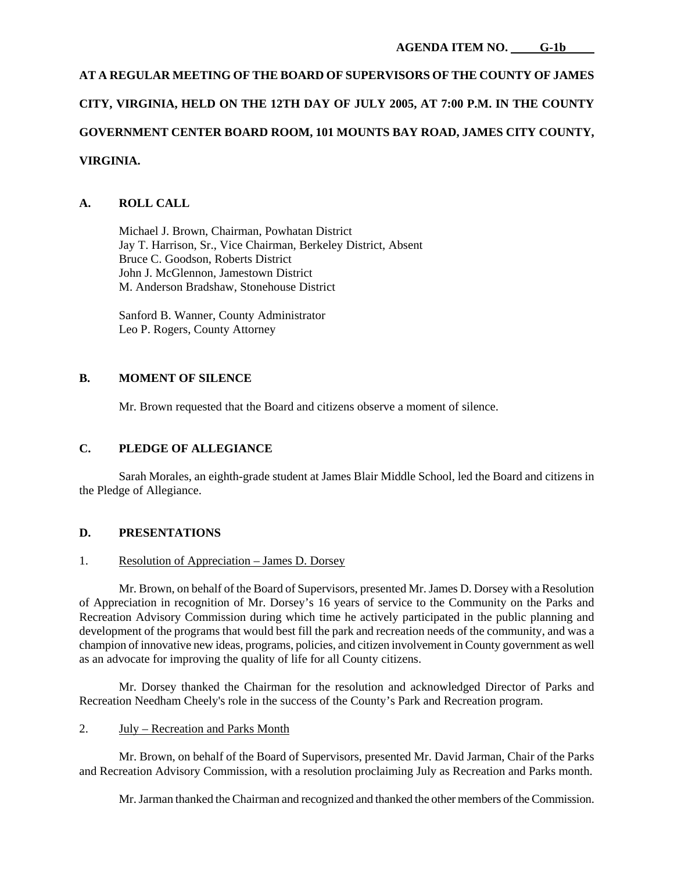# **AT A REGULAR MEETING OF THE BOARD OF SUPERVISORS OF THE COUNTY OF JAMES CITY, VIRGINIA, HELD ON THE 12TH DAY OF JULY 2005, AT 7:00 P.M. IN THE COUNTY GOVERNMENT CENTER BOARD ROOM, 101 MOUNTS BAY ROAD, JAMES CITY COUNTY, VIRGINIA.**

## **A. ROLL CALL**

 Michael J. Brown, Chairman, Powhatan District Jay T. Harrison, Sr., Vice Chairman, Berkeley District, Absent Bruce C. Goodson, Roberts District John J. McGlennon, Jamestown District M. Anderson Bradshaw, Stonehouse District

 Sanford B. Wanner, County Administrator Leo P. Rogers, County Attorney

## **B. MOMENT OF SILENCE**

Mr. Brown requested that the Board and citizens observe a moment of silence.

## **C. PLEDGE OF ALLEGIANCE**

 Sarah Morales, an eighth-grade student at James Blair Middle School, led the Board and citizens in the Pledge of Allegiance.

## **D. PRESENTATIONS**

## 1. Resolution of Appreciation – James D. Dorsey

 Mr. Brown, on behalf of the Board of Supervisors, presented Mr. James D. Dorsey with a Resolution of Appreciation in recognition of Mr. Dorsey's 16 years of service to the Community on the Parks and Recreation Advisory Commission during which time he actively participated in the public planning and development of the programs that would best fill the park and recreation needs of the community, and was a champion of innovative new ideas, programs, policies, and citizen involvement in County government as well as an advocate for improving the quality of life for all County citizens.

 Mr. Dorsey thanked the Chairman for the resolution and acknowledged Director of Parks and Recreation Needham Cheely's role in the success of the County's Park and Recreation program.

## 2. July – Recreation and Parks Month

 Mr. Brown, on behalf of the Board of Supervisors, presented Mr. David Jarman, Chair of the Parks and Recreation Advisory Commission, with a resolution proclaiming July as Recreation and Parks month.

Mr. Jarman thanked the Chairman and recognized and thanked the other members of the Commission.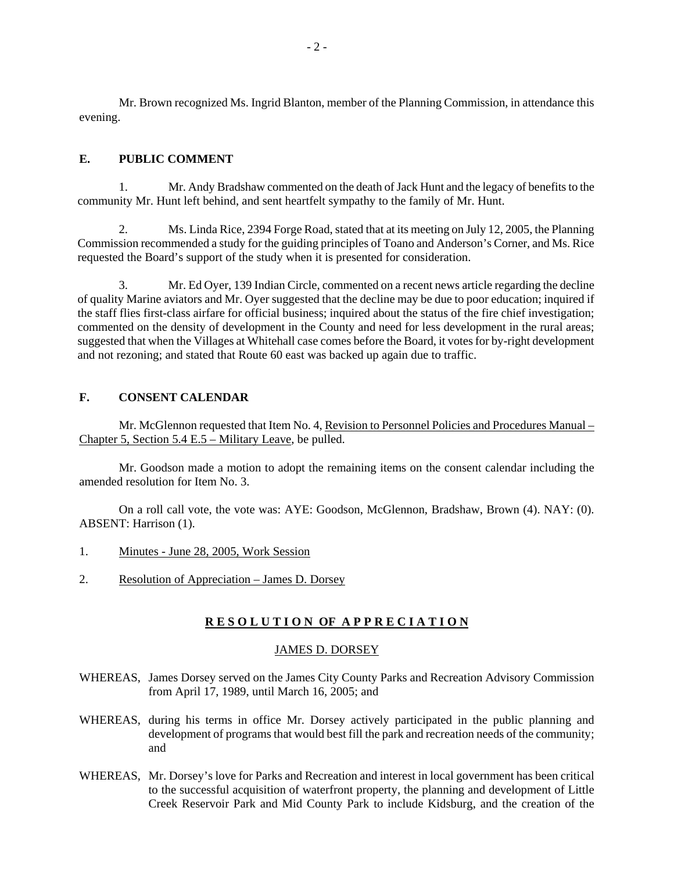Mr. Brown recognized Ms. Ingrid Blanton, member of the Planning Commission, in attendance this evening.

## **E. PUBLIC COMMENT**

 1. Mr. Andy Bradshaw commented on the death of Jack Hunt and the legacy of benefits to the community Mr. Hunt left behind, and sent heartfelt sympathy to the family of Mr. Hunt.

 2. Ms. Linda Rice, 2394 Forge Road, stated that at its meeting on July 12, 2005, the Planning Commission recommended a study for the guiding principles of Toano and Anderson's Corner, and Ms. Rice requested the Board's support of the study when it is presented for consideration.

 3. Mr. Ed Oyer, 139 Indian Circle, commented on a recent news article regarding the decline of quality Marine aviators and Mr. Oyer suggested that the decline may be due to poor education; inquired if the staff flies first-class airfare for official business; inquired about the status of the fire chief investigation; commented on the density of development in the County and need for less development in the rural areas; suggested that when the Villages at Whitehall case comes before the Board, it votes for by-right development and not rezoning; and stated that Route 60 east was backed up again due to traffic.

## **F. CONSENT CALENDAR**

 Mr. McGlennon requested that Item No. 4, Revision to Personnel Policies and Procedures Manual – Chapter 5, Section 5.4 E.5 – Military Leave, be pulled.

 Mr. Goodson made a motion to adopt the remaining items on the consent calendar including the amended resolution for Item No. 3.

 On a roll call vote, the vote was: AYE: Goodson, McGlennon, Bradshaw, Brown (4). NAY: (0). ABSENT: Harrison (1).

- 1. Minutes June 28, 2005, Work Session
- 2. Resolution of Appreciation James D. Dorsey

## **R E S O L U T I O N OF A P P R E C I A T I O N**

#### JAMES D. DORSEY

- WHEREAS, James Dorsey served on the James City County Parks and Recreation Advisory Commission from April 17, 1989, until March 16, 2005; and
- WHEREAS, during his terms in office Mr. Dorsey actively participated in the public planning and development of programs that would best fill the park and recreation needs of the community; and
- WHEREAS, Mr. Dorsey's love for Parks and Recreation and interest in local government has been critical to the successful acquisition of waterfront property, the planning and development of Little Creek Reservoir Park and Mid County Park to include Kidsburg, and the creation of the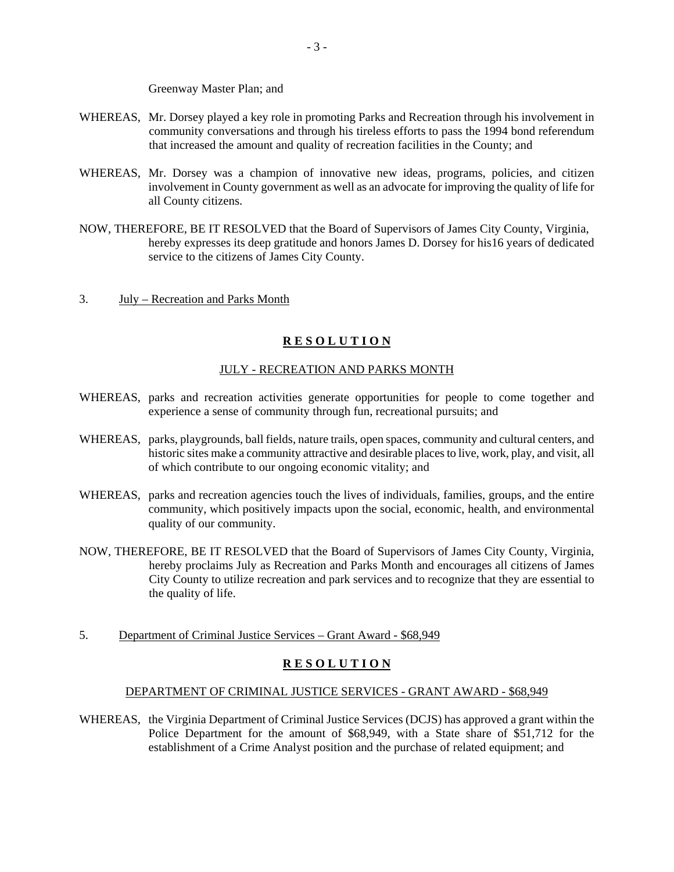Greenway Master Plan; and

- WHEREAS, Mr. Dorsey played a key role in promoting Parks and Recreation through his involvement in community conversations and through his tireless efforts to pass the 1994 bond referendum that increased the amount and quality of recreation facilities in the County; and
- WHEREAS, Mr. Dorsey was a champion of innovative new ideas, programs, policies, and citizen involvement in County government as well as an advocate for improving the quality of life for all County citizens.
- NOW, THEREFORE, BE IT RESOLVED that the Board of Supervisors of James City County, Virginia, hereby expresses its deep gratitude and honors James D. Dorsey for his16 years of dedicated service to the citizens of James City County.
- 3. July Recreation and Parks Month

## **R E S O L U T I O N**

## JULY - RECREATION AND PARKS MONTH

- WHEREAS, parks and recreation activities generate opportunities for people to come together and experience a sense of community through fun, recreational pursuits; and
- WHEREAS, parks, playgrounds, ball fields, nature trails, open spaces, community and cultural centers, and historic sites make a community attractive and desirable places to live, work, play, and visit, all of which contribute to our ongoing economic vitality; and
- WHEREAS, parks and recreation agencies touch the lives of individuals, families, groups, and the entire community, which positively impacts upon the social, economic, health, and environmental quality of our community.
- NOW, THEREFORE, BE IT RESOLVED that the Board of Supervisors of James City County, Virginia, hereby proclaims July as Recreation and Parks Month and encourages all citizens of James City County to utilize recreation and park services and to recognize that they are essential to the quality of life.
- 5. Department of Criminal Justice Services Grant Award \$68,949

## **R E S O L U T I O N**

#### DEPARTMENT OF CRIMINAL JUSTICE SERVICES - GRANT AWARD - \$68,949

WHEREAS, the Virginia Department of Criminal Justice Services (DCJS) has approved a grant within the Police Department for the amount of \$68,949, with a State share of \$51,712 for the establishment of a Crime Analyst position and the purchase of related equipment; and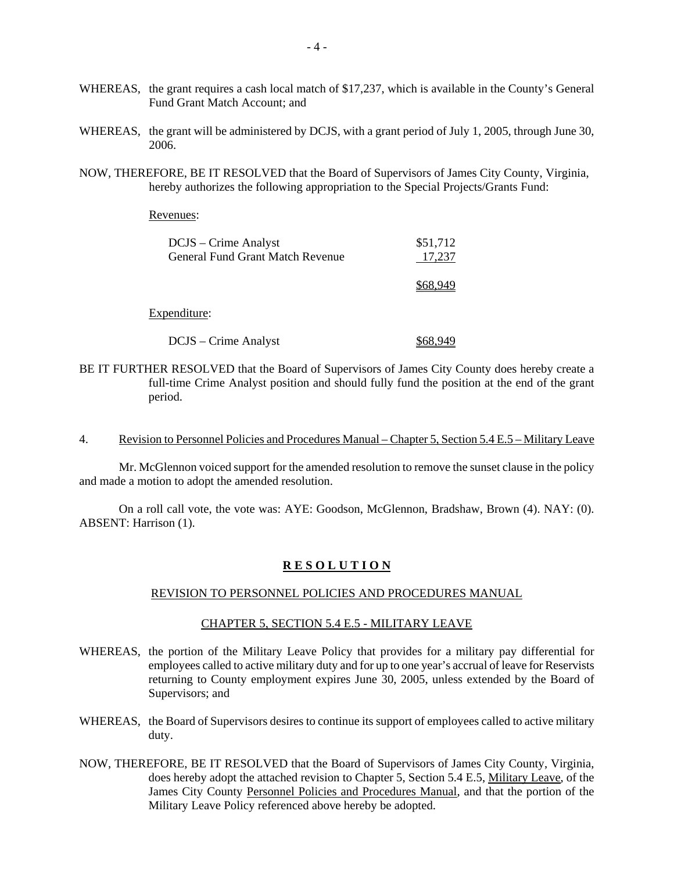- WHEREAS, the grant requires a cash local match of \$17,237, which is available in the County's General Fund Grant Match Account; and
- WHEREAS, the grant will be administered by DCJS, with a grant period of July 1, 2005, through June 30, 2006.
- NOW, THEREFORE, BE IT RESOLVED that the Board of Supervisors of James City County, Virginia, hereby authorizes the following appropriation to the Special Projects/Grants Fund:

Revenues:

| DCJS – Crime Analyst<br><b>General Fund Grant Match Revenue</b> | \$51,712<br>17.237 |
|-----------------------------------------------------------------|--------------------|
|                                                                 | \$68.949           |

#### Expenditure:

DCJS – Crime Analyst \$68,949

- BE IT FURTHER RESOLVED that the Board of Supervisors of James City County does hereby create a full-time Crime Analyst position and should fully fund the position at the end of the grant period.
- 4. Revision to Personnel Policies and Procedures Manual Chapter 5, Section 5.4 E.5 Military Leave

Mr. McGlennon voiced support for the amended resolution to remove the sunset clause in the policy and made a motion to adopt the amended resolution.

 On a roll call vote, the vote was: AYE: Goodson, McGlennon, Bradshaw, Brown (4). NAY: (0). ABSENT: Harrison (1).

#### **R E S O L U T I O N**

#### REVISION TO PERSONNEL POLICIES AND PROCEDURES MANUAL

## CHAPTER 5, SECTION 5.4 E.5 - MILITARY LEAVE

- WHEREAS, the portion of the Military Leave Policy that provides for a military pay differential for employees called to active military duty and for up to one year's accrual of leave for Reservists returning to County employment expires June 30, 2005, unless extended by the Board of Supervisors; and
- WHEREAS, the Board of Supervisors desires to continue its support of employees called to active military duty.
- NOW, THEREFORE, BE IT RESOLVED that the Board of Supervisors of James City County, Virginia, does hereby adopt the attached revision to Chapter 5, Section 5.4 E.5, Military Leave, of the James City County Personnel Policies and Procedures Manual, and that the portion of the Military Leave Policy referenced above hereby be adopted.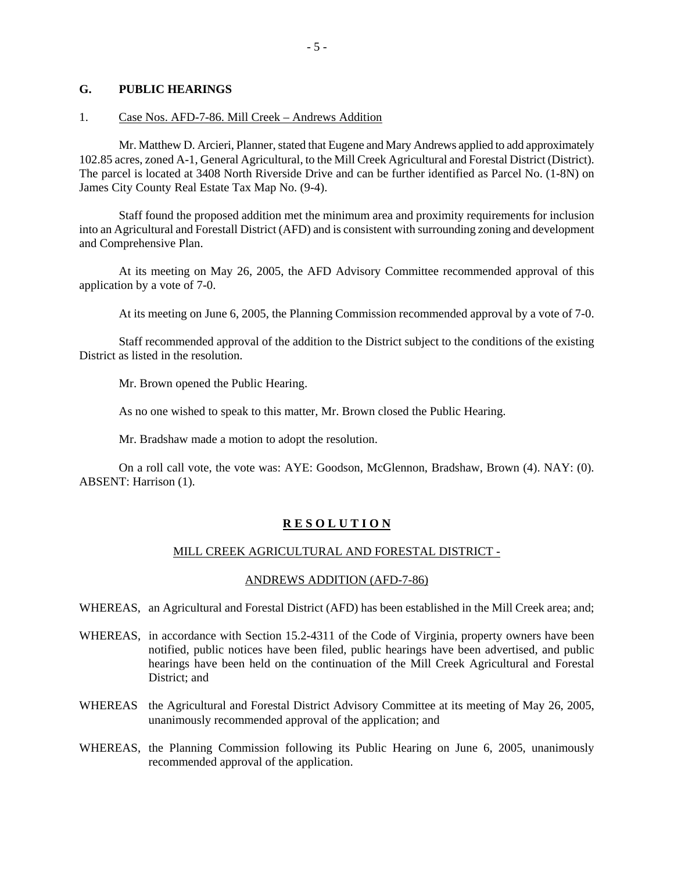#### **G. PUBLIC HEARINGS**

#### 1. Case Nos. AFD-7-86. Mill Creek – Andrews Addition

 Mr. Matthew D. Arcieri, Planner, stated that Eugene and Mary Andrews applied to add approximately 102.85 acres, zoned A-1, General Agricultural, to the Mill Creek Agricultural and Forestal District (District). The parcel is located at 3408 North Riverside Drive and can be further identified as Parcel No. (1-8N) on James City County Real Estate Tax Map No. (9-4).

 Staff found the proposed addition met the minimum area and proximity requirements for inclusion into an Agricultural and Forestall District (AFD) and is consistent with surrounding zoning and development and Comprehensive Plan.

 At its meeting on May 26, 2005, the AFD Advisory Committee recommended approval of this application by a vote of 7-0.

At its meeting on June 6, 2005, the Planning Commission recommended approval by a vote of 7-0.

 Staff recommended approval of the addition to the District subject to the conditions of the existing District as listed in the resolution.

Mr. Brown opened the Public Hearing.

As no one wished to speak to this matter, Mr. Brown closed the Public Hearing.

Mr. Bradshaw made a motion to adopt the resolution.

 On a roll call vote, the vote was: AYE: Goodson, McGlennon, Bradshaw, Brown (4). NAY: (0). ABSENT: Harrison (1).

#### **R E S O L U T I O N**

#### MILL CREEK AGRICULTURAL AND FORESTAL DISTRICT -

#### ANDREWS ADDITION (AFD-7-86)

WHEREAS, an Agricultural and Forestal District (AFD) has been established in the Mill Creek area; and;

- WHEREAS, in accordance with Section 15.2-4311 of the Code of Virginia, property owners have been notified, public notices have been filed, public hearings have been advertised, and public hearings have been held on the continuation of the Mill Creek Agricultural and Forestal District; and
- WHEREAS the Agricultural and Forestal District Advisory Committee at its meeting of May 26, 2005, unanimously recommended approval of the application; and
- WHEREAS, the Planning Commission following its Public Hearing on June 6, 2005, unanimously recommended approval of the application.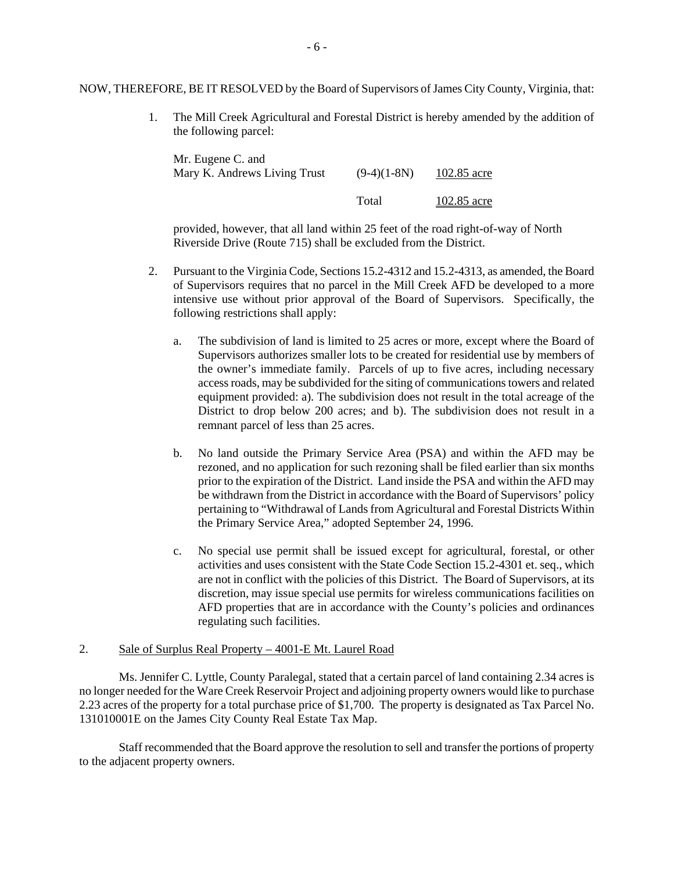NOW, THEREFORE, BE IT RESOLVED by the Board of Supervisors of James City County, Virginia, that:

 1. The Mill Creek Agricultural and Forestal District is hereby amended by the addition of the following parcel:

| Mr. Eugene C. and<br>Mary K. Andrews Living Trust | $(9-4)(1-8N)$ | 102.85 acre |             |
|---------------------------------------------------|---------------|-------------|-------------|
|                                                   |               | Total       | 102.85 acre |

provided, however, that all land within 25 feet of the road right-of-way of North Riverside Drive (Route 715) shall be excluded from the District.

- 2. Pursuant to the Virginia Code, Sections 15.2-4312 and 15.2-4313, as amended, the Board of Supervisors requires that no parcel in the Mill Creek AFD be developed to a more intensive use without prior approval of the Board of Supervisors. Specifically, the following restrictions shall apply:
	- a. The subdivision of land is limited to 25 acres or more, except where the Board of Supervisors authorizes smaller lots to be created for residential use by members of the owner's immediate family. Parcels of up to five acres, including necessary access roads, may be subdivided for the siting of communications towers and related equipment provided: a). The subdivision does not result in the total acreage of the District to drop below 200 acres; and b). The subdivision does not result in a remnant parcel of less than 25 acres.
	- b. No land outside the Primary Service Area (PSA) and within the AFD may be rezoned, and no application for such rezoning shall be filed earlier than six months prior to the expiration of the District. Land inside the PSA and within the AFD may be withdrawn from the District in accordance with the Board of Supervisors' policy pertaining to "Withdrawal of Lands from Agricultural and Forestal Districts Within the Primary Service Area," adopted September 24, 1996.
	- c. No special use permit shall be issued except for agricultural, forestal, or other activities and uses consistent with the State Code Section 15.2-4301 et. seq., which are not in conflict with the policies of this District. The Board of Supervisors, at its discretion, may issue special use permits for wireless communications facilities on AFD properties that are in accordance with the County's policies and ordinances regulating such facilities.

#### 2. Sale of Surplus Real Property – 4001-E Mt. Laurel Road

 Ms. Jennifer C. Lyttle, County Paralegal, stated that a certain parcel of land containing 2.34 acres is no longer needed for the Ware Creek Reservoir Project and adjoining property owners would like to purchase 2.23 acres of the property for a total purchase price of \$1,700. The property is designated as Tax Parcel No. 131010001E on the James City County Real Estate Tax Map.

 Staff recommended that the Board approve the resolution to sell and transfer the portions of property to the adjacent property owners.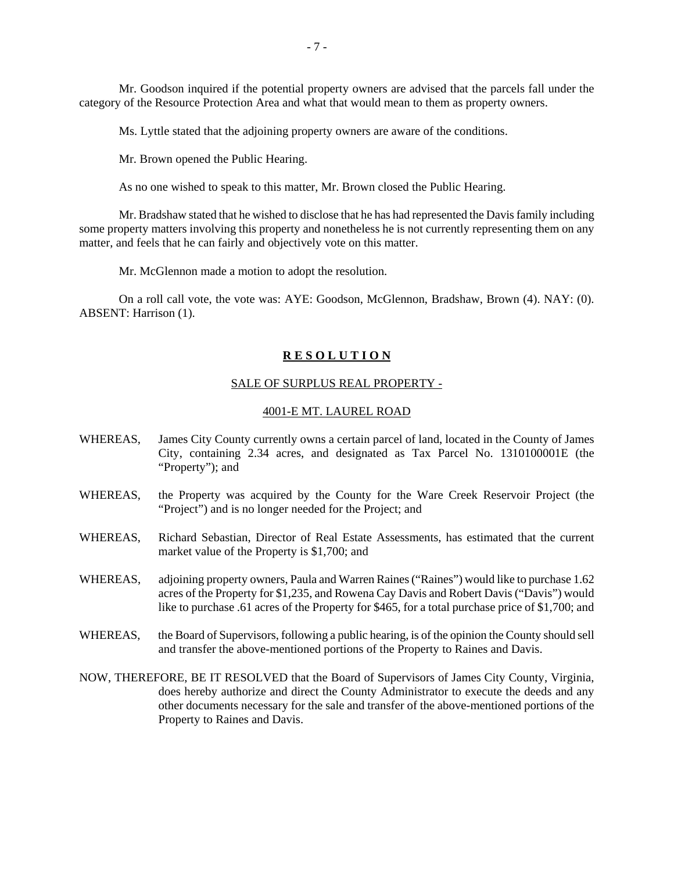Mr. Goodson inquired if the potential property owners are advised that the parcels fall under the category of the Resource Protection Area and what that would mean to them as property owners.

Ms. Lyttle stated that the adjoining property owners are aware of the conditions.

Mr. Brown opened the Public Hearing.

As no one wished to speak to this matter, Mr. Brown closed the Public Hearing.

 Mr. Bradshaw stated that he wished to disclose that he has had represented the Davis family including some property matters involving this property and nonetheless he is not currently representing them on any matter, and feels that he can fairly and objectively vote on this matter.

Mr. McGlennon made a motion to adopt the resolution.

 On a roll call vote, the vote was: AYE: Goodson, McGlennon, Bradshaw, Brown (4). NAY: (0). ABSENT: Harrison (1).

#### **R E S O L U T I O N**

#### SALE OF SURPLUS REAL PROPERTY -

## 4001-E MT. LAUREL ROAD

- WHEREAS, James City County currently owns a certain parcel of land, located in the County of James City, containing 2.34 acres, and designated as Tax Parcel No. 1310100001E (the "Property"); and
- WHEREAS, the Property was acquired by the County for the Ware Creek Reservoir Project (the "Project") and is no longer needed for the Project; and
- WHEREAS, Richard Sebastian, Director of Real Estate Assessments, has estimated that the current market value of the Property is \$1,700; and
- WHEREAS, adjoining property owners, Paula and Warren Raines ("Raines") would like to purchase 1.62 acres of the Property for \$1,235, and Rowena Cay Davis and Robert Davis ("Davis") would like to purchase .61 acres of the Property for \$465, for a total purchase price of \$1,700; and
- WHEREAS, the Board of Supervisors, following a public hearing, is of the opinion the County should sell and transfer the above-mentioned portions of the Property to Raines and Davis.
- NOW, THEREFORE, BE IT RESOLVED that the Board of Supervisors of James City County, Virginia, does hereby authorize and direct the County Administrator to execute the deeds and any other documents necessary for the sale and transfer of the above-mentioned portions of the Property to Raines and Davis.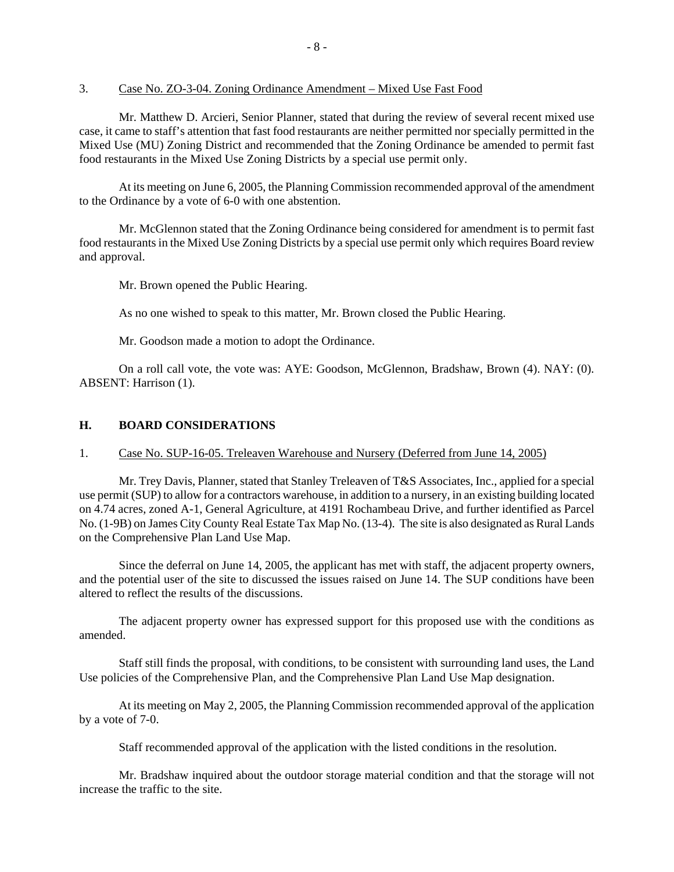#### 3. Case No. ZO-3-04. Zoning Ordinance Amendment – Mixed Use Fast Food

 Mr. Matthew D. Arcieri, Senior Planner, stated that during the review of several recent mixed use case, it came to staff's attention that fast food restaurants are neither permitted nor specially permitted in the Mixed Use (MU) Zoning District and recommended that the Zoning Ordinance be amended to permit fast food restaurants in the Mixed Use Zoning Districts by a special use permit only.

 At its meeting on June 6, 2005, the Planning Commission recommended approval of the amendment to the Ordinance by a vote of 6-0 with one abstention.

 Mr. McGlennon stated that the Zoning Ordinance being considered for amendment is to permit fast food restaurants in the Mixed Use Zoning Districts by a special use permit only which requires Board review and approval.

Mr. Brown opened the Public Hearing.

As no one wished to speak to this matter, Mr. Brown closed the Public Hearing.

Mr. Goodson made a motion to adopt the Ordinance.

 On a roll call vote, the vote was: AYE: Goodson, McGlennon, Bradshaw, Brown (4). NAY: (0). ABSENT: Harrison (1).

#### **H. BOARD CONSIDERATIONS**

#### 1. Case No. SUP-16-05. Treleaven Warehouse and Nursery (Deferred from June 14, 2005)

 Mr. Trey Davis, Planner, stated that Stanley Treleaven of T&S Associates, Inc., applied for a special use permit (SUP) to allow for a contractors warehouse, in addition to a nursery, in an existing building located on 4.74 acres, zoned A-1, General Agriculture, at 4191 Rochambeau Drive, and further identified as Parcel No. (1-9B) on James City County Real Estate Tax Map No. (13-4). The site is also designated as Rural Lands on the Comprehensive Plan Land Use Map.

 Since the deferral on June 14, 2005, the applicant has met with staff, the adjacent property owners, and the potential user of the site to discussed the issues raised on June 14. The SUP conditions have been altered to reflect the results of the discussions.

 The adjacent property owner has expressed support for this proposed use with the conditions as amended.

 Staff still finds the proposal, with conditions, to be consistent with surrounding land uses, the Land Use policies of the Comprehensive Plan, and the Comprehensive Plan Land Use Map designation.

 At its meeting on May 2, 2005, the Planning Commission recommended approval of the application by a vote of 7-0.

Staff recommended approval of the application with the listed conditions in the resolution.

 Mr. Bradshaw inquired about the outdoor storage material condition and that the storage will not increase the traffic to the site.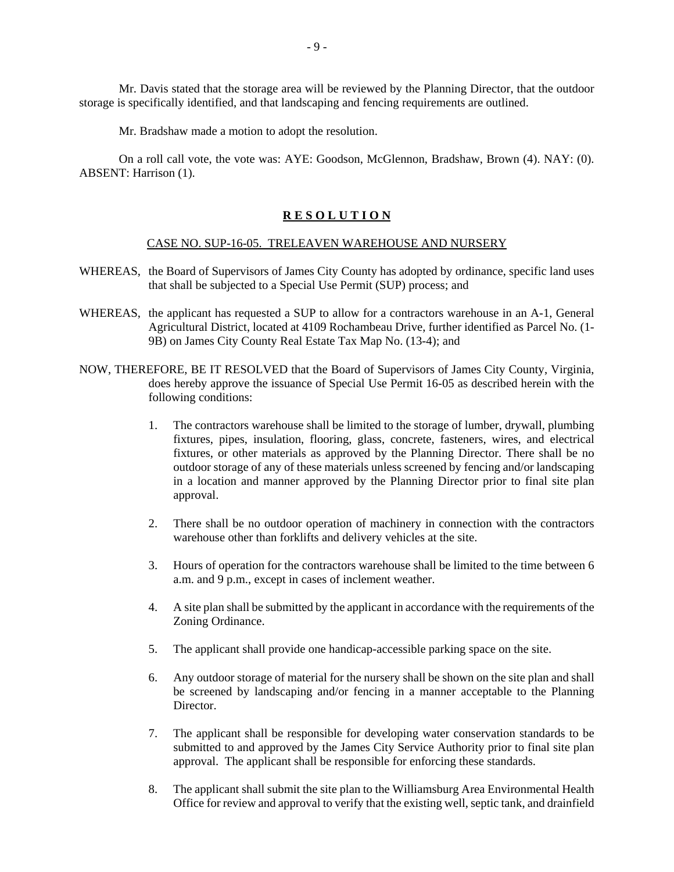Mr. Davis stated that the storage area will be reviewed by the Planning Director, that the outdoor storage is specifically identified, and that landscaping and fencing requirements are outlined.

Mr. Bradshaw made a motion to adopt the resolution.

 On a roll call vote, the vote was: AYE: Goodson, McGlennon, Bradshaw, Brown (4). NAY: (0). ABSENT: Harrison (1).

#### **R E S O L U T I O N**

#### CASE NO. SUP-16-05. TRELEAVEN WAREHOUSE AND NURSERY

- WHEREAS, the Board of Supervisors of James City County has adopted by ordinance, specific land uses that shall be subjected to a Special Use Permit (SUP) process; and
- WHEREAS, the applicant has requested a SUP to allow for a contractors warehouse in an A-1, General Agricultural District, located at 4109 Rochambeau Drive, further identified as Parcel No. (1- 9B) on James City County Real Estate Tax Map No. (13-4); and
- NOW, THEREFORE, BE IT RESOLVED that the Board of Supervisors of James City County, Virginia, does hereby approve the issuance of Special Use Permit 16-05 as described herein with the following conditions:
	- 1. The contractors warehouse shall be limited to the storage of lumber, drywall, plumbing fixtures, pipes, insulation, flooring, glass, concrete, fasteners, wires, and electrical fixtures, or other materials as approved by the Planning Director. There shall be no outdoor storage of any of these materials unless screened by fencing and/or landscaping in a location and manner approved by the Planning Director prior to final site plan approval.
	- 2. There shall be no outdoor operation of machinery in connection with the contractors warehouse other than forklifts and delivery vehicles at the site.
	- 3. Hours of operation for the contractors warehouse shall be limited to the time between 6 a.m. and 9 p.m., except in cases of inclement weather.
	- 4. A site plan shall be submitted by the applicant in accordance with the requirements of the Zoning Ordinance.
	- 5. The applicant shall provide one handicap-accessible parking space on the site.
	- 6. Any outdoor storage of material for the nursery shall be shown on the site plan and shall be screened by landscaping and/or fencing in a manner acceptable to the Planning Director.
	- 7. The applicant shall be responsible for developing water conservation standards to be submitted to and approved by the James City Service Authority prior to final site plan approval. The applicant shall be responsible for enforcing these standards.
	- 8. The applicant shall submit the site plan to the Williamsburg Area Environmental Health Office for review and approval to verify that the existing well, septic tank, and drainfield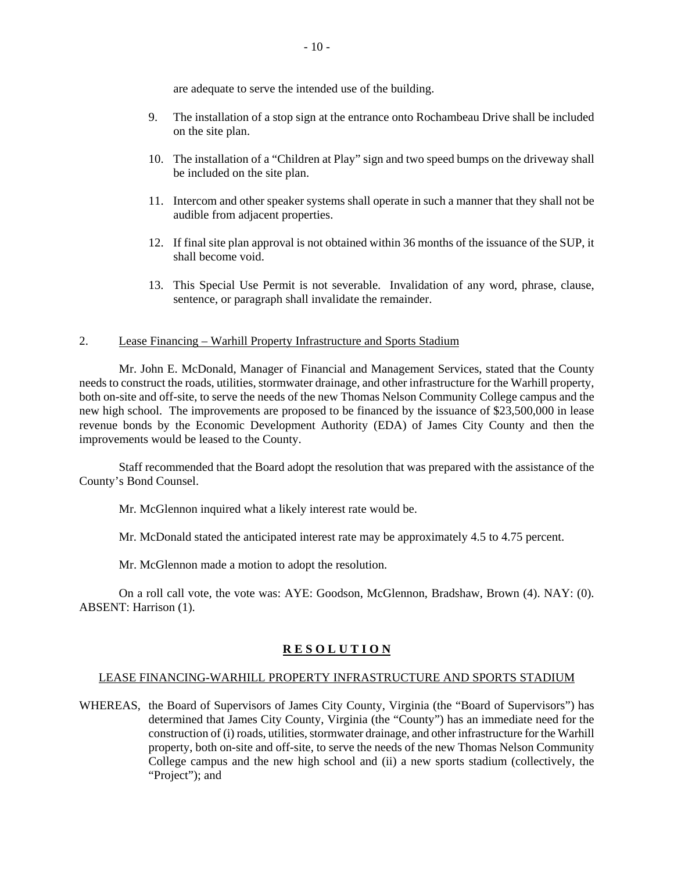are adequate to serve the intended use of the building.

- 9. The installation of a stop sign at the entrance onto Rochambeau Drive shall be included on the site plan.
- 10. The installation of a "Children at Play" sign and two speed bumps on the driveway shall be included on the site plan.
- 11. Intercom and other speaker systems shall operate in such a manner that they shall not be audible from adjacent properties.
- 12. If final site plan approval is not obtained within 36 months of the issuance of the SUP, it shall become void.
- 13. This Special Use Permit is not severable. Invalidation of any word, phrase, clause, sentence, or paragraph shall invalidate the remainder.

#### 2. Lease Financing – Warhill Property Infrastructure and Sports Stadium

 Mr. John E. McDonald, Manager of Financial and Management Services, stated that the County needs to construct the roads, utilities, stormwater drainage, and other infrastructure for the Warhill property, both on-site and off-site, to serve the needs of the new Thomas Nelson Community College campus and the new high school. The improvements are proposed to be financed by the issuance of \$23,500,000 in lease revenue bonds by the Economic Development Authority (EDA) of James City County and then the improvements would be leased to the County.

 Staff recommended that the Board adopt the resolution that was prepared with the assistance of the County's Bond Counsel.

Mr. McGlennon inquired what a likely interest rate would be.

Mr. McDonald stated the anticipated interest rate may be approximately 4.5 to 4.75 percent.

Mr. McGlennon made a motion to adopt the resolution.

 On a roll call vote, the vote was: AYE: Goodson, McGlennon, Bradshaw, Brown (4). NAY: (0). ABSENT: Harrison (1).

#### **R E S O L U T I O N**

#### LEASE FINANCING-WARHILL PROPERTY INFRASTRUCTURE AND SPORTS STADIUM

WHEREAS, the Board of Supervisors of James City County, Virginia (the "Board of Supervisors") has determined that James City County, Virginia (the "County") has an immediate need for the construction of (i) roads, utilities, stormwater drainage, and other infrastructure for the Warhill property, both on-site and off-site, to serve the needs of the new Thomas Nelson Community College campus and the new high school and (ii) a new sports stadium (collectively, the "Project"); and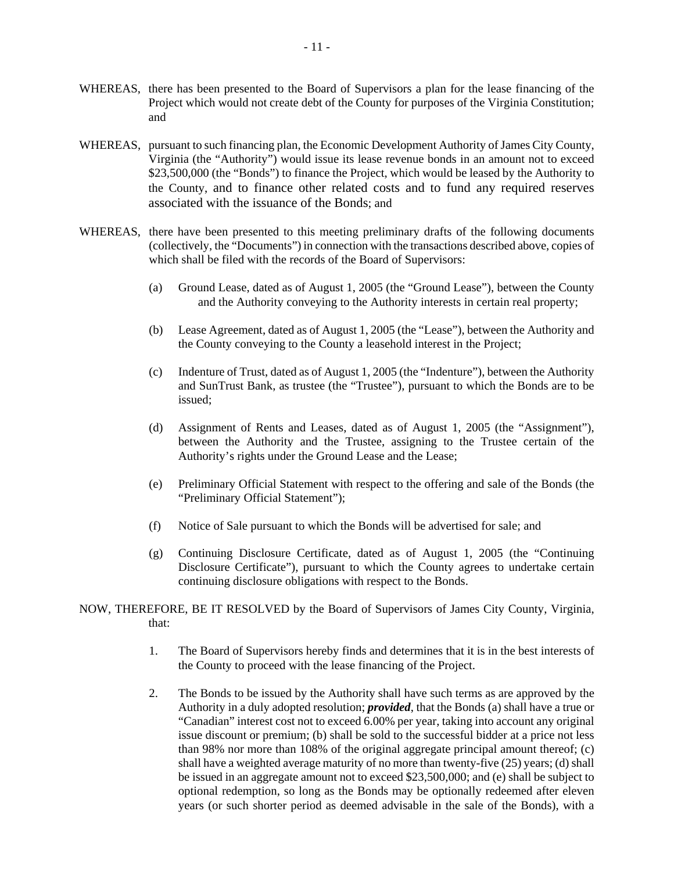- WHEREAS, there has been presented to the Board of Supervisors a plan for the lease financing of the Project which would not create debt of the County for purposes of the Virginia Constitution; and
- WHEREAS, pursuant to such financing plan, the Economic Development Authority of James City County, Virginia (the "Authority") would issue its lease revenue bonds in an amount not to exceed \$23,500,000 (the "Bonds") to finance the Project, which would be leased by the Authority to the County, and to finance other related costs and to fund any required reserves associated with the issuance of the Bonds; and
- WHEREAS, there have been presented to this meeting preliminary drafts of the following documents (collectively, the "Documents") in connection with the transactions described above, copies of which shall be filed with the records of the Board of Supervisors:
	- (a) Ground Lease, dated as of August 1, 2005 (the "Ground Lease"), between the County and the Authority conveying to the Authority interests in certain real property;
	- (b) Lease Agreement, dated as of August 1, 2005 (the "Lease"), between the Authority and the County conveying to the County a leasehold interest in the Project;
	- (c) Indenture of Trust, dated as of August 1, 2005 (the "Indenture"), between the Authority and SunTrust Bank, as trustee (the "Trustee"), pursuant to which the Bonds are to be issued;
	- (d) Assignment of Rents and Leases, dated as of August 1, 2005 (the "Assignment"), between the Authority and the Trustee, assigning to the Trustee certain of the Authority's rights under the Ground Lease and the Lease;
	- (e) Preliminary Official Statement with respect to the offering and sale of the Bonds (the "Preliminary Official Statement");
	- (f) Notice of Sale pursuant to which the Bonds will be advertised for sale; and
	- (g) Continuing Disclosure Certificate, dated as of August 1, 2005 (the "Continuing Disclosure Certificate"), pursuant to which the County agrees to undertake certain continuing disclosure obligations with respect to the Bonds.
- NOW, THEREFORE, BE IT RESOLVED by the Board of Supervisors of James City County, Virginia, that:
	- 1. The Board of Supervisors hereby finds and determines that it is in the best interests of the County to proceed with the lease financing of the Project.
	- 2. The Bonds to be issued by the Authority shall have such terms as are approved by the Authority in a duly adopted resolution; *provided*, that the Bonds (a) shall have a true or "Canadian" interest cost not to exceed 6.00% per year, taking into account any original issue discount or premium; (b) shall be sold to the successful bidder at a price not less than 98% nor more than 108% of the original aggregate principal amount thereof; (c) shall have a weighted average maturity of no more than twenty-five (25) years; (d) shall be issued in an aggregate amount not to exceed \$23,500,000; and (e) shall be subject to optional redemption, so long as the Bonds may be optionally redeemed after eleven years (or such shorter period as deemed advisable in the sale of the Bonds), with a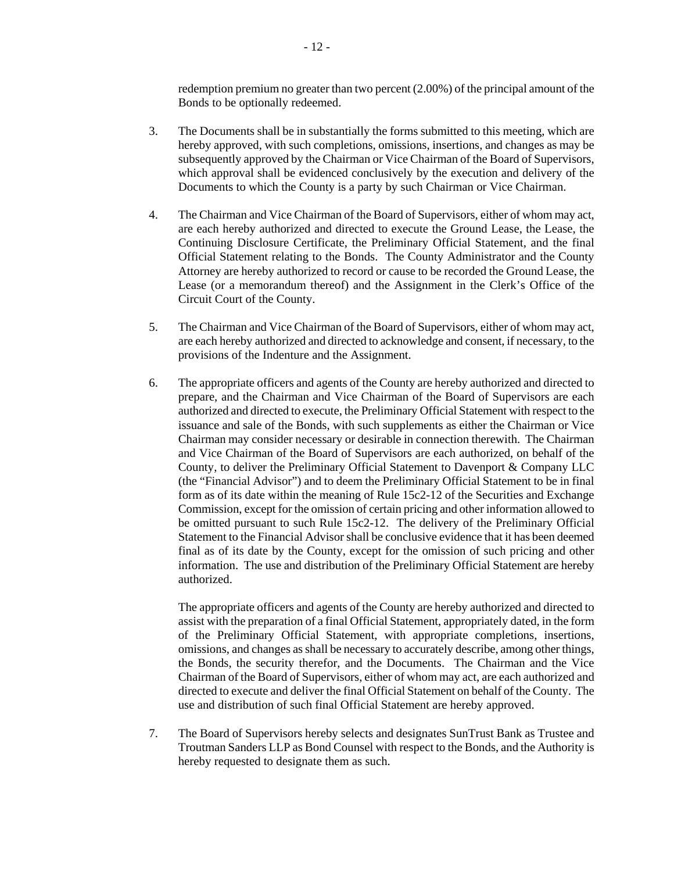redemption premium no greater than two percent (2.00%) of the principal amount of the Bonds to be optionally redeemed.

- 3. The Documents shall be in substantially the forms submitted to this meeting, which are hereby approved, with such completions, omissions, insertions, and changes as may be subsequently approved by the Chairman or Vice Chairman of the Board of Supervisors, which approval shall be evidenced conclusively by the execution and delivery of the Documents to which the County is a party by such Chairman or Vice Chairman.
- 4. The Chairman and Vice Chairman of the Board of Supervisors, either of whom may act, are each hereby authorized and directed to execute the Ground Lease, the Lease, the Continuing Disclosure Certificate, the Preliminary Official Statement, and the final Official Statement relating to the Bonds. The County Administrator and the County Attorney are hereby authorized to record or cause to be recorded the Ground Lease, the Lease (or a memorandum thereof) and the Assignment in the Clerk's Office of the Circuit Court of the County.
- 5. The Chairman and Vice Chairman of the Board of Supervisors, either of whom may act, are each hereby authorized and directed to acknowledge and consent, if necessary, to the provisions of the Indenture and the Assignment.
- 6. The appropriate officers and agents of the County are hereby authorized and directed to prepare, and the Chairman and Vice Chairman of the Board of Supervisors are each authorized and directed to execute, the Preliminary Official Statement with respect to the issuance and sale of the Bonds, with such supplements as either the Chairman or Vice Chairman may consider necessary or desirable in connection therewith. The Chairman and Vice Chairman of the Board of Supervisors are each authorized, on behalf of the County, to deliver the Preliminary Official Statement to Davenport & Company LLC (the "Financial Advisor") and to deem the Preliminary Official Statement to be in final form as of its date within the meaning of Rule 15c2-12 of the Securities and Exchange Commission, except for the omission of certain pricing and other information allowed to be omitted pursuant to such Rule 15c2-12. The delivery of the Preliminary Official Statement to the Financial Advisor shall be conclusive evidence that it has been deemed final as of its date by the County, except for the omission of such pricing and other information. The use and distribution of the Preliminary Official Statement are hereby authorized.

 The appropriate officers and agents of the County are hereby authorized and directed to assist with the preparation of a final Official Statement, appropriately dated, in the form of the Preliminary Official Statement, with appropriate completions, insertions, omissions, and changes as shall be necessary to accurately describe, among other things, the Bonds, the security therefor, and the Documents. The Chairman and the Vice Chairman of the Board of Supervisors, either of whom may act, are each authorized and directed to execute and deliver the final Official Statement on behalf of the County. The use and distribution of such final Official Statement are hereby approved.

 7. The Board of Supervisors hereby selects and designates SunTrust Bank as Trustee and Troutman Sanders LLP as Bond Counsel with respect to the Bonds, and the Authority is hereby requested to designate them as such.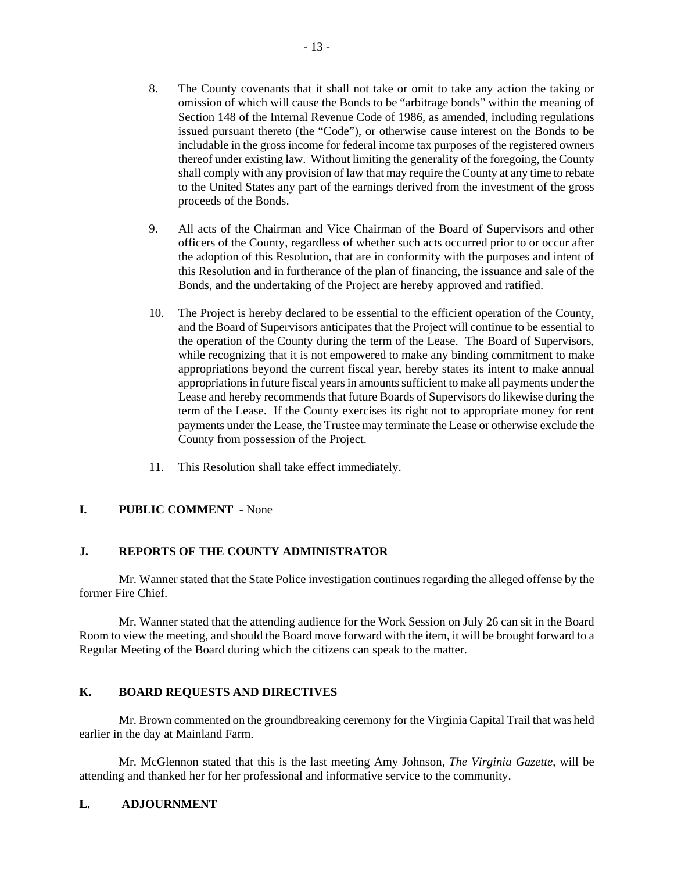- 8. The County covenants that it shall not take or omit to take any action the taking or omission of which will cause the Bonds to be "arbitrage bonds" within the meaning of Section 148 of the Internal Revenue Code of 1986, as amended, including regulations issued pursuant thereto (the "Code"), or otherwise cause interest on the Bonds to be includable in the gross income for federal income tax purposes of the registered owners thereof under existing law. Without limiting the generality of the foregoing, the County shall comply with any provision of law that may require the County at any time to rebate to the United States any part of the earnings derived from the investment of the gross proceeds of the Bonds.
- 9. All acts of the Chairman and Vice Chairman of the Board of Supervisors and other officers of the County, regardless of whether such acts occurred prior to or occur after the adoption of this Resolution, that are in conformity with the purposes and intent of this Resolution and in furtherance of the plan of financing, the issuance and sale of the Bonds, and the undertaking of the Project are hereby approved and ratified.
- 10. The Project is hereby declared to be essential to the efficient operation of the County, and the Board of Supervisors anticipates that the Project will continue to be essential to the operation of the County during the term of the Lease. The Board of Supervisors, while recognizing that it is not empowered to make any binding commitment to make appropriations beyond the current fiscal year, hereby states its intent to make annual appropriations in future fiscal years in amounts sufficient to make all payments under the Lease and hereby recommends that future Boards of Supervisors do likewise during the term of the Lease. If the County exercises its right not to appropriate money for rent payments under the Lease, the Trustee may terminate the Lease or otherwise exclude the County from possession of the Project.
- 11. This Resolution shall take effect immediately.

## **I. PUBLIC COMMENT** - None

## **J. REPORTS OF THE COUNTY ADMINISTRATOR**

 Mr. Wanner stated that the State Police investigation continues regarding the alleged offense by the former Fire Chief.

 Mr. Wanner stated that the attending audience for the Work Session on July 26 can sit in the Board Room to view the meeting, and should the Board move forward with the item, it will be brought forward to a Regular Meeting of the Board during which the citizens can speak to the matter.

## **K. BOARD REQUESTS AND DIRECTIVES**

 Mr. Brown commented on the groundbreaking ceremony for the Virginia Capital Trail that was held earlier in the day at Mainland Farm.

 Mr. McGlennon stated that this is the last meeting Amy Johnson, *The Virginia Gazette*, will be attending and thanked her for her professional and informative service to the community.

#### **L. ADJOURNMENT**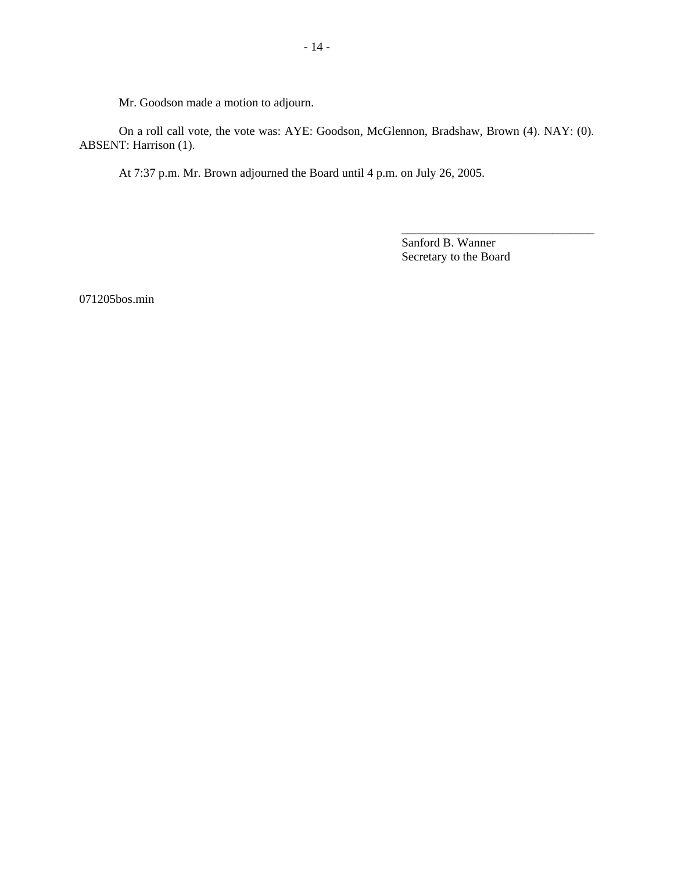Mr. Goodson made a motion to adjourn.

 On a roll call vote, the vote was: AYE: Goodson, McGlennon, Bradshaw, Brown (4). NAY: (0). ABSENT: Harrison (1).

At 7:37 p.m. Mr. Brown adjourned the Board until 4 p.m. on July 26, 2005.

Sanford B. Wanner Secretary to the Board

\_\_\_\_\_\_\_\_\_\_\_\_\_\_\_\_\_\_\_\_\_\_\_\_\_\_\_\_\_\_\_\_

071205bos.min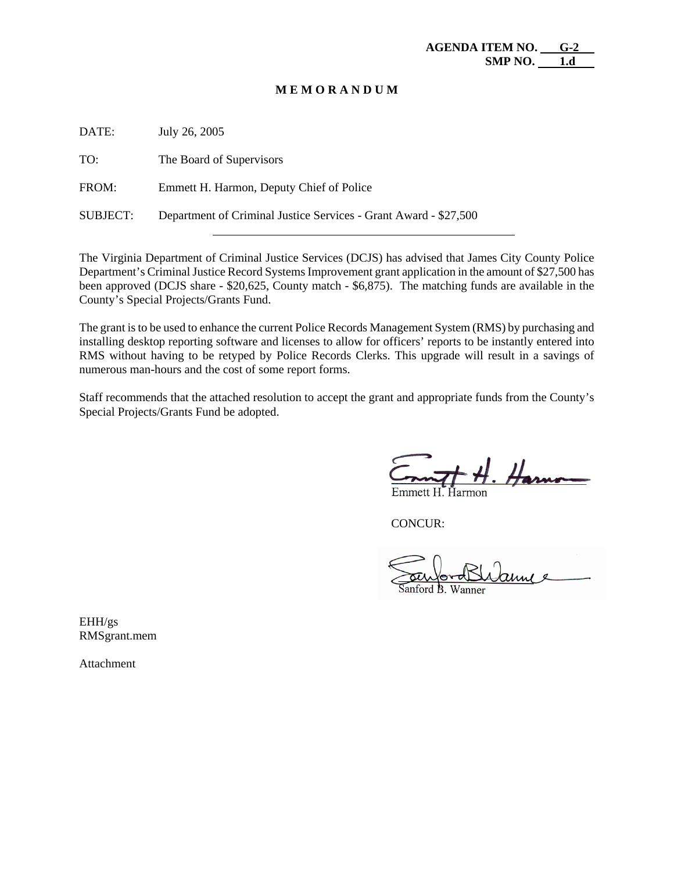#### **M E M O R A N D U M**

| July 26, 2005                                                    |
|------------------------------------------------------------------|
| The Board of Supervisors                                         |
| Emmett H. Harmon, Deputy Chief of Police                         |
| Department of Criminal Justice Services - Grant Award - \$27,500 |
|                                                                  |

The Virginia Department of Criminal Justice Services (DCJS) has advised that James City County Police Department's Criminal Justice Record Systems Improvement grant application in the amount of \$27,500 has been approved (DCJS share - \$20,625, County match - \$6,875). The matching funds are available in the County's Special Projects/Grants Fund.

The grant is to be used to enhance the current Police Records Management System (RMS) by purchasing and installing desktop reporting software and licenses to allow for officers' reports to be instantly entered into RMS without having to be retyped by Police Records Clerks. This upgrade will result in a savings of numerous man-hours and the cost of some report forms.

Staff recommends that the attached resolution to accept the grant and appropriate funds from the County's Special Projects/Grants Fund be adopted.

CONCUR:

auu

EHH/gs RMSgrant.mem

Attachment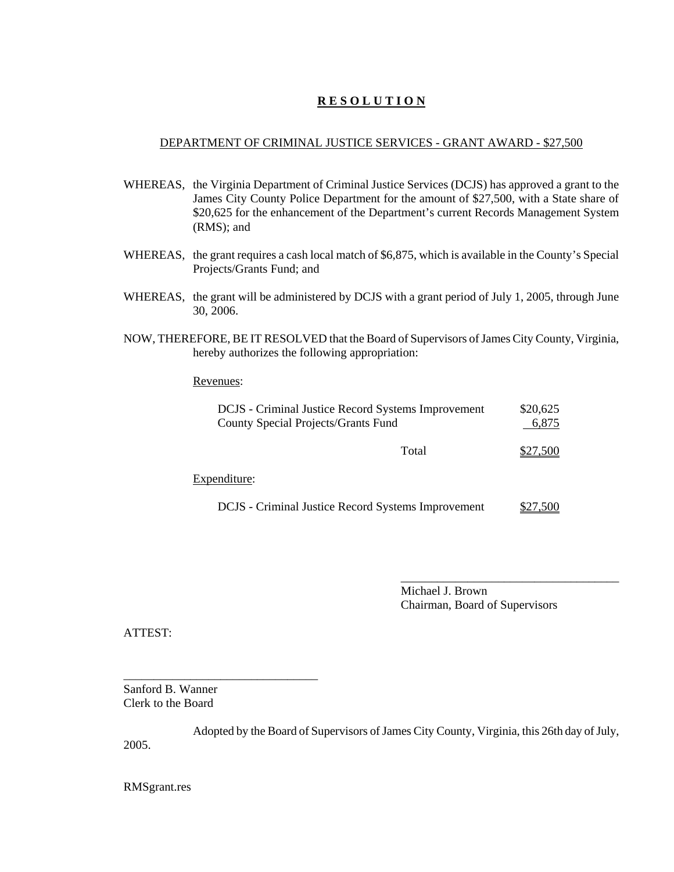## **R E S O L U T I O N**

## DEPARTMENT OF CRIMINAL JUSTICE SERVICES - GRANT AWARD - \$27,500

- WHEREAS, the Virginia Department of Criminal Justice Services (DCJS) has approved a grant to the James City County Police Department for the amount of \$27,500, with a State share of \$20,625 for the enhancement of the Department's current Records Management System (RMS); and
- WHEREAS, the grant requires a cash local match of \$6,875, which is available in the County's Special Projects/Grants Fund; and
- WHEREAS, the grant will be administered by DCJS with a grant period of July 1, 2005, through June 30, 2006.
- NOW, THEREFORE, BE IT RESOLVED that the Board of Supervisors of James City County, Virginia, hereby authorizes the following appropriation:

## Revenues:

| DCJS - Criminal Justice Record Systems Improvement<br>County Special Projects/Grants Fund | \$20,625<br>6,875 |
|-------------------------------------------------------------------------------------------|-------------------|
| Total                                                                                     | \$27,500          |
| Expenditure:                                                                              |                   |
| DCJS - Criminal Justice Record Systems Improvement                                        | \$27,500          |

Michael J. Brown Chairman, Board of Supervisors

\_\_\_\_\_\_\_\_\_\_\_\_\_\_\_\_\_\_\_\_\_\_\_\_\_\_\_\_\_\_\_\_\_\_\_\_

ATTEST:

\_\_\_\_\_\_\_\_\_\_\_\_\_\_\_\_\_\_\_\_\_\_\_\_\_\_\_\_\_\_\_\_ Sanford B. Wanner Clerk to the Board

Adopted by the Board of Supervisors of James City County, Virginia, this 26th day of July, 2005.

RMSgrant.res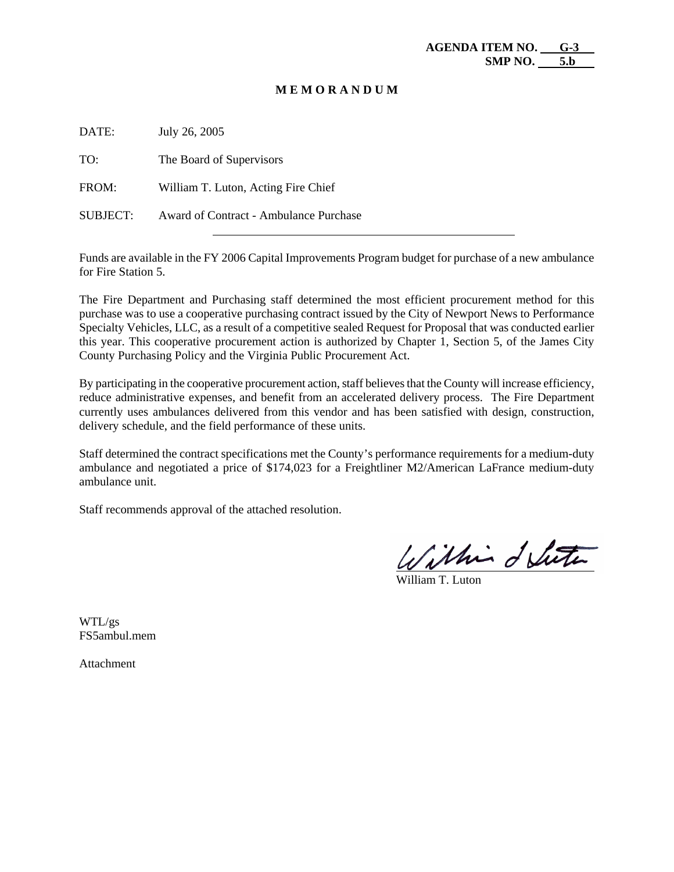#### **M E M O R A N D U M**

| DATE:    | July 26, 2005                          |
|----------|----------------------------------------|
| TO:      | The Board of Supervisors               |
| FROM:    | William T. Luton, Acting Fire Chief    |
| SUBJECT: | Award of Contract - Ambulance Purchase |

Funds are available in the FY 2006 Capital Improvements Program budget for purchase of a new ambulance for Fire Station 5.

The Fire Department and Purchasing staff determined the most efficient procurement method for this purchase was to use a cooperative purchasing contract issued by the City of Newport News to Performance Specialty Vehicles, LLC, as a result of a competitive sealed Request for Proposal that was conducted earlier this year. This cooperative procurement action is authorized by Chapter 1, Section 5, of the James City County Purchasing Policy and the Virginia Public Procurement Act.

By participating in the cooperative procurement action, staff believes that the County will increase efficiency, reduce administrative expenses, and benefit from an accelerated delivery process. The Fire Department currently uses ambulances delivered from this vendor and has been satisfied with design, construction, delivery schedule, and the field performance of these units.

Staff determined the contract specifications met the County's performance requirements for a medium-duty ambulance and negotiated a price of \$174,023 for a Freightliner M2/American LaFrance medium-duty ambulance unit.

Staff recommends approval of the attached resolution.

Within delute

William T. Luton

WTL/gs FS5ambul.mem

Attachment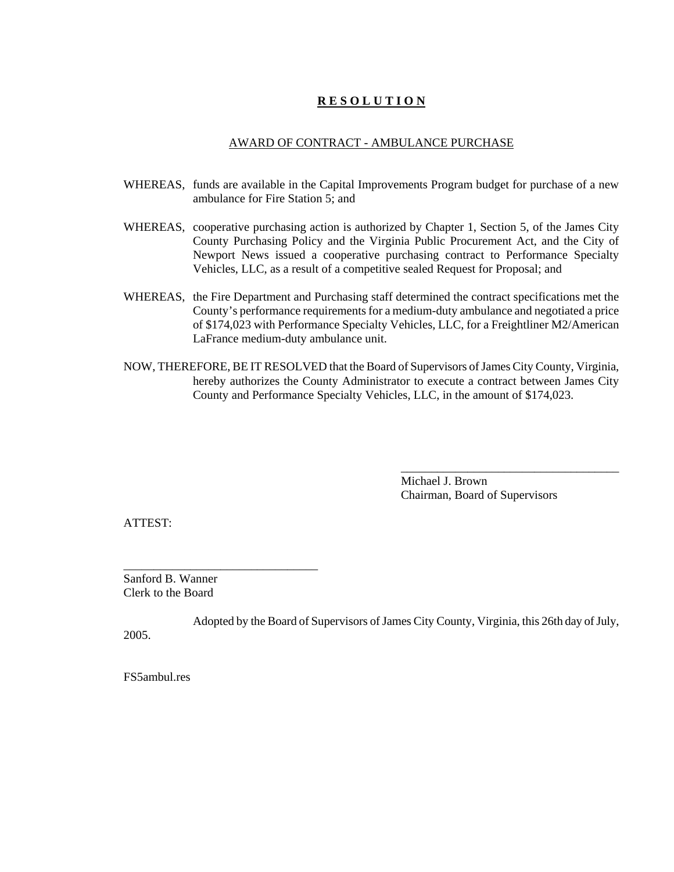## **R E S O L U T I O N**

#### AWARD OF CONTRACT - AMBULANCE PURCHASE

- WHEREAS, funds are available in the Capital Improvements Program budget for purchase of a new ambulance for Fire Station 5; and
- WHEREAS, cooperative purchasing action is authorized by Chapter 1, Section 5, of the James City County Purchasing Policy and the Virginia Public Procurement Act, and the City of Newport News issued a cooperative purchasing contract to Performance Specialty Vehicles, LLC, as a result of a competitive sealed Request for Proposal; and
- WHEREAS, the Fire Department and Purchasing staff determined the contract specifications met the County's performance requirements for a medium-duty ambulance and negotiated a price of \$174,023 with Performance Specialty Vehicles, LLC, for a Freightliner M2/American LaFrance medium-duty ambulance unit.
- NOW, THEREFORE, BE IT RESOLVED that the Board of Supervisors of James City County, Virginia, hereby authorizes the County Administrator to execute a contract between James City County and Performance Specialty Vehicles, LLC, in the amount of \$174,023.

Michael J. Brown Chairman, Board of Supervisors

\_\_\_\_\_\_\_\_\_\_\_\_\_\_\_\_\_\_\_\_\_\_\_\_\_\_\_\_\_\_\_\_\_\_\_\_

ATTEST:

Sanford B. Wanner Clerk to the Board

\_\_\_\_\_\_\_\_\_\_\_\_\_\_\_\_\_\_\_\_\_\_\_\_\_\_\_\_\_\_\_\_

Adopted by the Board of Supervisors of James City County, Virginia, this 26th day of July, 2005.

FS5ambul.res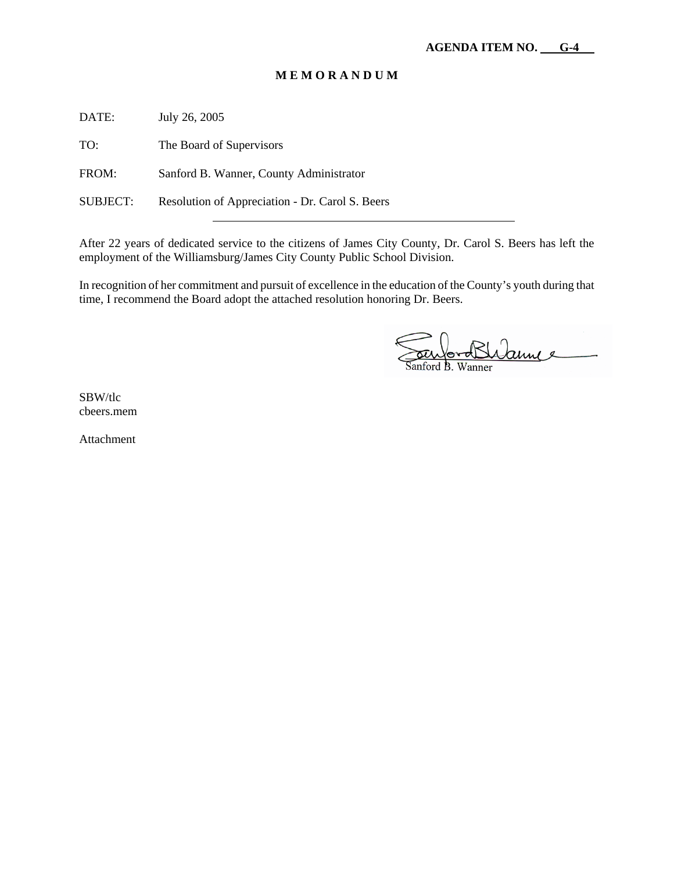## **M E M O R A N D U M**

DATE: July 26, 2005

TO: The Board of Supervisors

FROM: Sanford B. Wanner, County Administrator

SUBJECT: Resolution of Appreciation - Dr. Carol S. Beers

After 22 years of dedicated service to the citizens of James City County, Dr. Carol S. Beers has left the employment of the Williamsburg/James City County Public School Division.

In recognition of her commitment and pursuit of excellence in the education of the County's youth during that time, I recommend the Board adopt the attached resolution honoring Dr. Beers.

fordBhanne Wanner

SBW/tlc cbeers.mem

Attachment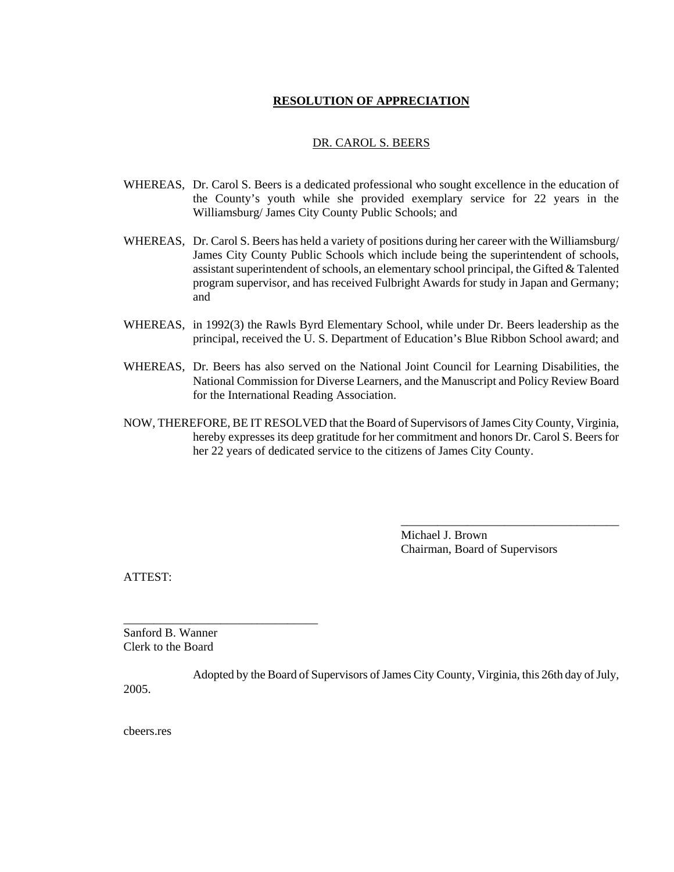## **RESOLUTION OF APPRECIATION**

#### DR. CAROL S. BEERS

- WHEREAS, Dr. Carol S. Beers is a dedicated professional who sought excellence in the education of the County's youth while she provided exemplary service for 22 years in the Williamsburg/ James City County Public Schools; and
- WHEREAS, Dr. Carol S. Beers has held a variety of positions during her career with the Williamsburg/ James City County Public Schools which include being the superintendent of schools, assistant superintendent of schools, an elementary school principal, the Gifted & Talented program supervisor, and has received Fulbright Awards for study in Japan and Germany; and
- WHEREAS, in 1992(3) the Rawls Byrd Elementary School, while under Dr. Beers leadership as the principal, received the U. S. Department of Education's Blue Ribbon School award; and
- WHEREAS, Dr. Beers has also served on the National Joint Council for Learning Disabilities, the National Commission for Diverse Learners, and the Manuscript and Policy Review Board for the International Reading Association.
- NOW, THEREFORE, BE IT RESOLVED that the Board of Supervisors of James City County, Virginia, hereby expresses its deep gratitude for her commitment and honors Dr. Carol S. Beers for her 22 years of dedicated service to the citizens of James City County.

Michael J. Brown Chairman, Board of Supervisors

\_\_\_\_\_\_\_\_\_\_\_\_\_\_\_\_\_\_\_\_\_\_\_\_\_\_\_\_\_\_\_\_\_\_\_\_

ATTEST:

Sanford B. Wanner Clerk to the Board

\_\_\_\_\_\_\_\_\_\_\_\_\_\_\_\_\_\_\_\_\_\_\_\_\_\_\_\_\_\_\_\_

Adopted by the Board of Supervisors of James City County, Virginia, this 26th day of July, 2005.

cbeers.res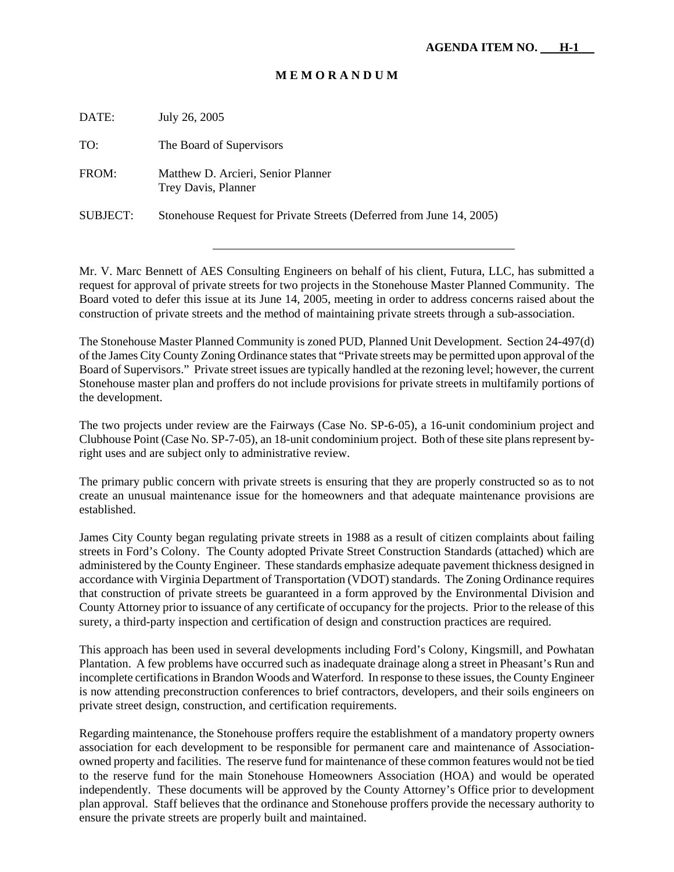#### **M E M O R A N D U M**

DATE: July 26, 2005 TO: The Board of Supervisors FROM: Matthew D. Arcieri, Senior Planner Trey Davis, Planner SUBJECT: Stonehouse Request for Private Streets (Deferred from June 14, 2005)

Mr. V. Marc Bennett of AES Consulting Engineers on behalf of his client, Futura, LLC, has submitted a request for approval of private streets for two projects in the Stonehouse Master Planned Community. The Board voted to defer this issue at its June 14, 2005, meeting in order to address concerns raised about the construction of private streets and the method of maintaining private streets through a sub-association.

The Stonehouse Master Planned Community is zoned PUD, Planned Unit Development. Section 24-497(d) of the James City County Zoning Ordinance states that "Private streets may be permitted upon approval of the Board of Supervisors." Private street issues are typically handled at the rezoning level; however, the current Stonehouse master plan and proffers do not include provisions for private streets in multifamily portions of the development.

The two projects under review are the Fairways (Case No. SP-6-05), a 16-unit condominium project and Clubhouse Point (Case No. SP-7-05), an 18-unit condominium project. Both of these site plans represent byright uses and are subject only to administrative review.

The primary public concern with private streets is ensuring that they are properly constructed so as to not create an unusual maintenance issue for the homeowners and that adequate maintenance provisions are established.

James City County began regulating private streets in 1988 as a result of citizen complaints about failing streets in Ford's Colony. The County adopted Private Street Construction Standards (attached) which are administered by the County Engineer. These standards emphasize adequate pavement thickness designed in accordance with Virginia Department of Transportation (VDOT) standards. The Zoning Ordinance requires that construction of private streets be guaranteed in a form approved by the Environmental Division and County Attorney prior to issuance of any certificate of occupancy for the projects. Prior to the release of this surety, a third-party inspection and certification of design and construction practices are required.

This approach has been used in several developments including Ford's Colony, Kingsmill, and Powhatan Plantation. A few problems have occurred such as inadequate drainage along a street in Pheasant's Run and incomplete certifications in Brandon Woods and Waterford. In response to these issues, the County Engineer is now attending preconstruction conferences to brief contractors, developers, and their soils engineers on private street design, construction, and certification requirements.

Regarding maintenance, the Stonehouse proffers require the establishment of a mandatory property owners association for each development to be responsible for permanent care and maintenance of Associationowned property and facilities. The reserve fund for maintenance of these common features would not be tied to the reserve fund for the main Stonehouse Homeowners Association (HOA) and would be operated independently. These documents will be approved by the County Attorney's Office prior to development plan approval. Staff believes that the ordinance and Stonehouse proffers provide the necessary authority to ensure the private streets are properly built and maintained.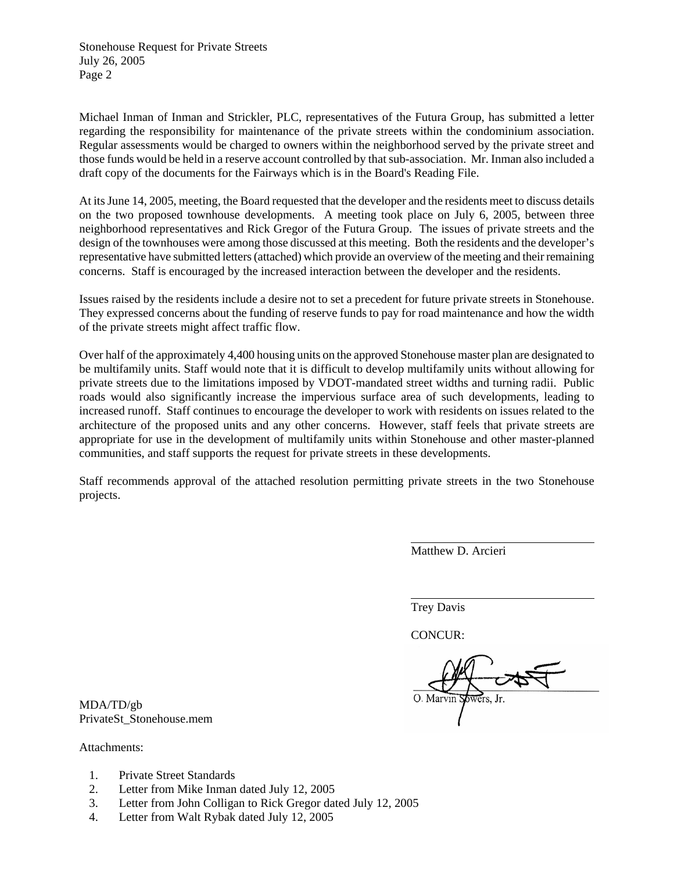Stonehouse Request for Private Streets July 26, 2005 Page 2

Michael Inman of Inman and Strickler, PLC, representatives of the Futura Group, has submitted a letter regarding the responsibility for maintenance of the private streets within the condominium association. Regular assessments would be charged to owners within the neighborhood served by the private street and those funds would be held in a reserve account controlled by that sub-association. Mr. Inman also included a draft copy of the documents for the Fairways which is in the Board's Reading File.

At its June 14, 2005, meeting, the Board requested that the developer and the residents meet to discuss details on the two proposed townhouse developments. A meeting took place on July 6, 2005, between three neighborhood representatives and Rick Gregor of the Futura Group. The issues of private streets and the design of the townhouses were among those discussed at this meeting. Both the residents and the developer's representative have submitted letters (attached) which provide an overview of the meeting and their remaining concerns. Staff is encouraged by the increased interaction between the developer and the residents.

Issues raised by the residents include a desire not to set a precedent for future private streets in Stonehouse. They expressed concerns about the funding of reserve funds to pay for road maintenance and how the width of the private streets might affect traffic flow.

Over half of the approximately 4,400 housing units on the approved Stonehouse master plan are designated to be multifamily units. Staff would note that it is difficult to develop multifamily units without allowing for private streets due to the limitations imposed by VDOT-mandated street widths and turning radii. Public roads would also significantly increase the impervious surface area of such developments, leading to increased runoff. Staff continues to encourage the developer to work with residents on issues related to the architecture of the proposed units and any other concerns. However, staff feels that private streets are appropriate for use in the development of multifamily units within Stonehouse and other master-planned communities, and staff supports the request for private streets in these developments.

Staff recommends approval of the attached resolution permitting private streets in the two Stonehouse projects.

Matthew D. Arcieri

Trey Davis

l

CONCUR:

O. Marvin

MDA/TD/gb PrivateSt\_Stonehouse.mem

Attachments:

- 1. Private Street Standards
- 2. Letter from Mike Inman dated July 12, 2005
- 3. Letter from John Colligan to Rick Gregor dated July 12, 2005
- 4. Letter from Walt Rybak dated July 12, 2005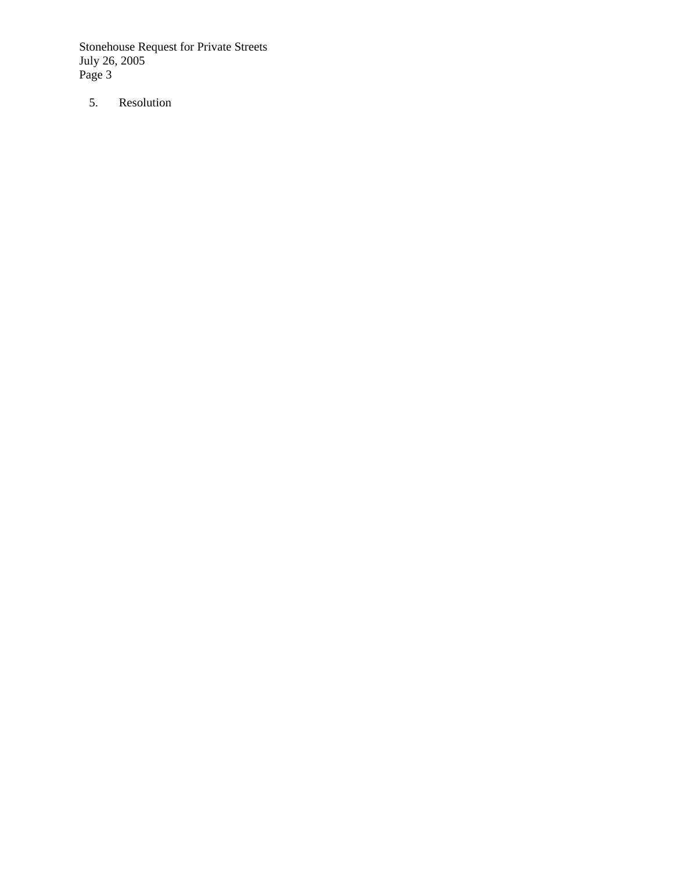Stonehouse Request for Private Streets July 26, 2005 Page 3

5. Resolution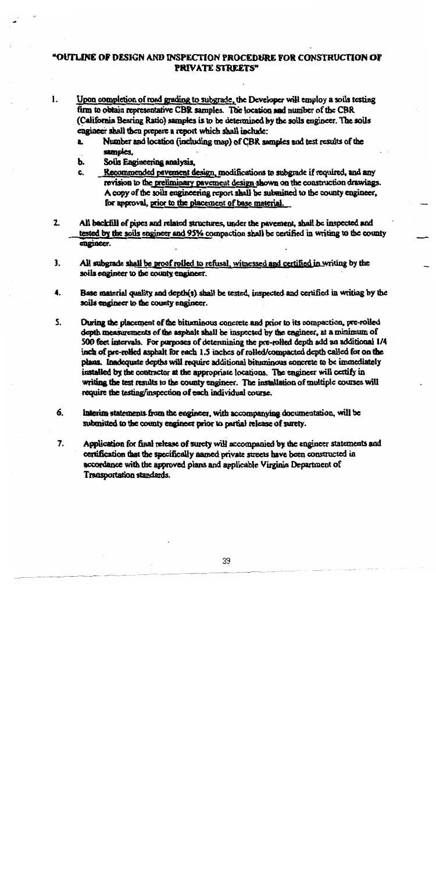## "OUTLINE OF DESIGN AND INSPECTION PROCEDURE FOR CONSTRUCTION OF PRIVATE STREETS"

- $\mathbf{1}$ . Upon completion of road grading to subgrade, the Developer will employ a soils testing firm to obtain representative CBR samples. The location and number of the CBR (California Bearing Ratio) samples is to be determined by the soils engineer. The soils engineer shall then prepare a report which shall include:
	- Number and location (including map) of CBR samples and test results of the a. samples.
	- Soils Engineering analysis. b.
	- c. Recommended pavement design, modifications to subgrade if required, and any revision to the preliminary pavement design shown on the construction drawings. A copy of the soils engineering report shall be submitted to the county engineer. for approval, prior to the placement of base material.
- $2<sub>1</sub>$ All backfill of pipes and related structures, under the payement, shall be inspected and tested by the soils engineer and 95% compaction shall be certified in writing to the county engineer.
- $\overline{\mathbf{3}}$ . All subgrade shall be proof rolled to refusal, witnessed and certified in writing by the soils engineer to the county engineer.
- $\ddot{\mathbf{4}}$ . Base material quality and depth(s) shall be tested, inspected and certified in writing by the soils engineer to the county engineer.
- **S.** During the placement of the bituminous concrete and prior to its compaction, pre-rolled depth measurements of the asphalt shall be inspected by the engineer, at a minimum of 500 feet intervals. For purposes of determining the pre-rolled depth add an additional 1/4 inch of pre-rolled asphalt for each 1.5 inches of rolled/compacted depth called for on the plans. Inadequate depths will require additional bituminous concrete to be immediately installed by the contractor at the appropriate locations. The engineer will certify in writing the test results to the county engineer. The installation of multiple courses will require the testing/inspection of each individual course.
- 6. Interim statements from the engineer, with accompanying documentation, will be submitted to the county engineer prior to partial release of surety.
- $7<sub>1</sub>$ Application for final release of surety will accompanied by the engineer statements and certification that the specifically named private streets have been constructed in accordance with the approved plans and applicable Virginia Department of Transportation standards.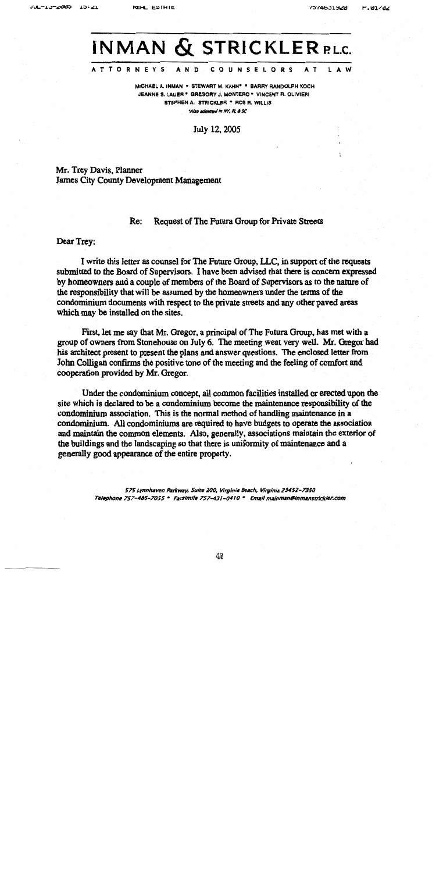# **INMAN & STRICKLER RLC.**

#### **ATTORNEYS** A N D **COUNSELORS**  $\mathbf{A}$  T

MICHAEL A. INMAN . STEWART M. KAHN\* . BARRY RANDOLPH KOCH JEANNE S. LAUER . GREGORY J. MONTERO . VINCENT R. OLIVIERI STEPHEN A. STRICKLER \* ROS R. WILLIS 'Also admitted in NY, PL & SC

July 12, 2005

Mr. Trev Davis, Planner James City County Development Management

#### Request of The Futura Group for Private Streets Re:

Dear Trey:

I write this letter as counsel for The Future Group, LLC, in support of the requests submitted to the Board of Supervisors. I have been advised that there is concern expressed by homeowners and a couple of members of the Board of Supervisors as to the nature of the responsibility that will be assumed by the homeowners under the terms of the condominium documents with respect to the private streets and any other paved areas which may be installed on the sites.

First, let me say that Mr. Gregor, a principal of The Futura Group, has met with a group of owners from Stonehouse on July 6. The meeting went very well. Mr. Gregor had his architect present to present the plans and answer questions. The enclosed letter from John Colligan confirms the positive tone of the meeting and the feeling of comfort and cooperation provided by Mr. Gregor.

Under the condominium concept, all common facilities installed or erected upon the site which is declared to be a condominium become the maintenance responsibility of the condominium association. This is the normal method of handling maintenance in a condominium. All condominiums are required to have budgets to operate the association and maintain the common elements. Also, generally, associations maintain the exterior of the buildings and the landscaping so that there is uniformity of maintenance and a generally good appearance of the entire property.

> 575 Lynnhaven Parkway, Suite 200, Virginia Beach, Virginia 23452-7350 Telephone 757-486-7055 \* Facsimile 757-431-0410 \* Email mainman@inmanstrickler.com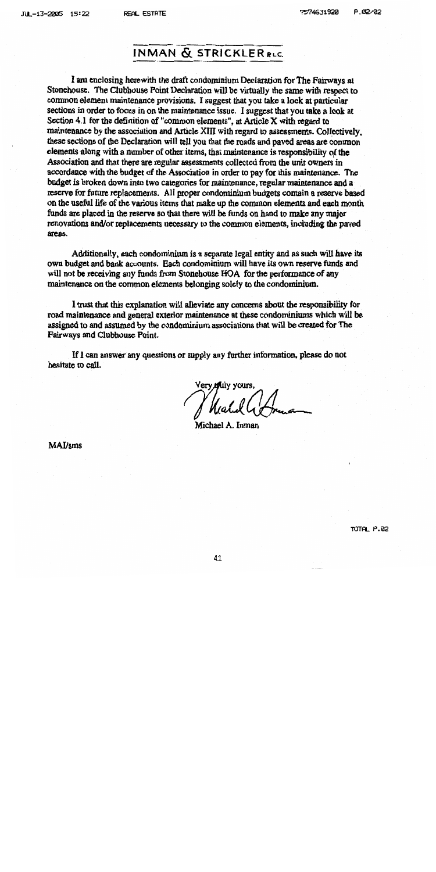**REAL ESTATE** 

## **INMAN & STRICKLER RLC.**

I am enclosing herewith the draft condominium Declaration for The Fairways at Stonehouse. The Clubhouse Point Declaration will be virtually the same with respect to common element maintenance provisions. I suggest that you take a look at particular sections in order to focus in on the maintenance issue. I suggest that you take a look at Section 4.1 for the definition of "common elements", at Article X with regard to maintenance by the association and Article XIII with regard to assessments. Collectively, these sections of the Declaration will tell you that the roads and payed areas are common elements along with a number of other items, that maintenance is responsibility of the Association and that there are regular assessments collected from the unit owners in accordance with the budget of the Association in order to pay for this maintenance. The budget is broken down into two categories for maintenance, regular maintenance and a reserve for future replacements. All proper condominium budgets contain a reserve based on the useful life of the various items that make up the common elements and each month funds are placed in the reserve so that there will be funds on hand to make any major renovations and/or replacements necessary to the common elements, including the paved areas.

Additionally, each condominium is a separate legal entity and as such will have its own budget and bank accounts. Each condominium will have its own reserve funds and will not be receiving any funds from Stonehouse HOA for the performance of any maintenance on the common elements belonging solely to the condominium.

I trust that this explanation will alleviate any concerns about the responsibility for road maintenance and general exterior maintenance at these condominiums which will be assigned to and assumed by the condominium associations that will be created for The Fairways and Clubhouse Point.

If I can answer any questions or supply any further information, please do not hesitate to call.

Very Muly your

Michael A. Inman

**MAI/sms**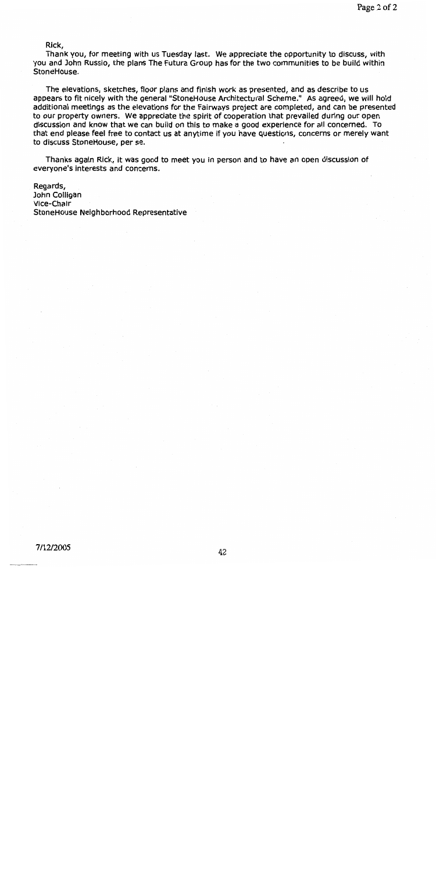Rick,

Thank you, for meeting with us Tuesday last. We appreciate the opportunity to discuss, with you and John Russio, the plans The Futura Group has for the two communities to be build within StoneHouse.

The elevations, sketches, floor plans and finish work as presented, and as describe to us appears to fit nicely with the general "StoneHouse Architectural Scheme." As agreed, we will hold additional meetings as the elevations for the Fairways project are completed, and can be presented to our property owners. We appreciate the spirit of cooperation that prevailed during our open discussion and know that we can build on this to make a good experience for all concerned. To that end please feel free to contact us at anytime if you have questions, concerns or merely want to discuss StoneHouse, per se.

Thanks again Rick, it was good to meet you in person and to have an open discussion of everyone's interests and concerns.

Regards, John Colligan Vice-Chair StoneHouse Neighborhood Representative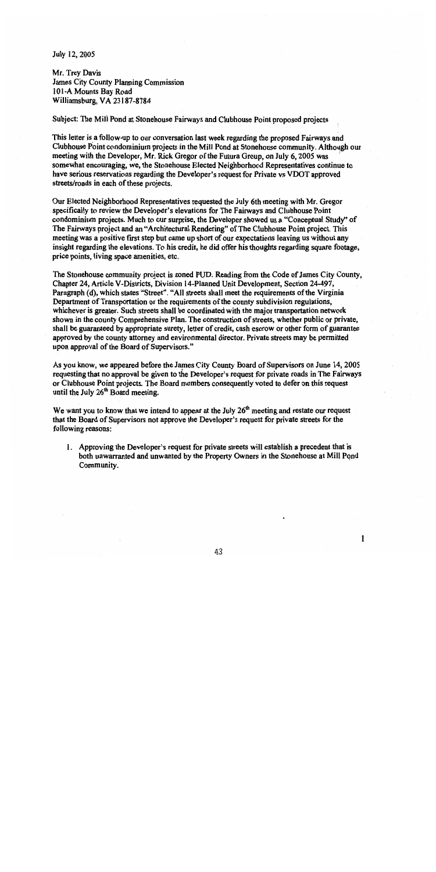July 12, 2005

Mr. Trey Davis James City County Planning Commission 101-A Mounts Bay Road Williamsburg, VA 23187-8784

Subject: The Mill Pond at Stonehouse Fairways and Clubhouse Point proposed projects

This letter is a follow-up to our conversation last week regarding the proposed Fairways and Clubhouse Point condominium projects in the Mill Pond at Stonehouse community. Although our meeting with the Developer, Mr. Rick Gregor of the Futura Group, on July 6, 2005 was somewhat encouraging, we, the Stonehouse Elected Neighborhood Representatives continue to have serious reservations regarding the Developer's request for Private vs VDOT approved streets/roads in each of these projects.

Our Elected Neighborhood Representatives requested the July 6th meeting with Mr. Gregor specifically to review the Developer's elevations for The Fairways and Clubhouse Point condominium projects. Much to our surprise, the Developer showed us a "Conceptual Study" of The Fairways project and an "Architectural Rendering" of The Clubhouse Point project. This meeting was a positive first step but came up short of our expectations leaving us without any insight regarding the elevations. To his credit, he did offer his thoughts regarding square footage, price points, living space amenities, etc.

The Stonehouse community project is zoned PUD. Reading from the Code of James City County, Chapter 24, Article V-Districts, Division 14-Planned Unit Development, Section 24-497, Paragraph (d), which states "Street". "All streets shall meet the requirements of the Virginia Department of Transportation or the requirements of the county subdivision regulations, whichever is greater. Such streets shall be coordinated with the major transportation network shown in the county Comprehensive Plan. The construction of streets, whether public or private, shall be guaranteed by appropriate surety, letter of credit, cash escrow or other form of guarantee approved by the county attorney and environmental director. Private streets may be permitted upon approval of the Board of Supervisors."

As you know, we appeared before the James City County Board of Supervisors on June 14, 2005 requesting that no approval be given to the Developer's request for private roads in The Fairways or Clubhouse Point projects. The Board members consequently voted to defer on this request until the July 26<sup>th</sup> Board meeting.

We want you to know that we intend to appear at the July  $26<sup>th</sup>$  meeting and restate our request that the Board of Supervisors not approve the Developer's request for private streets for the following reasons:

1. Approving the Developer's request for private streets will establish a precedent that is both unwarranted and unwanted by the Property Owners in the Stonehouse at Mill Pond Community.

 $\mathbf{1}$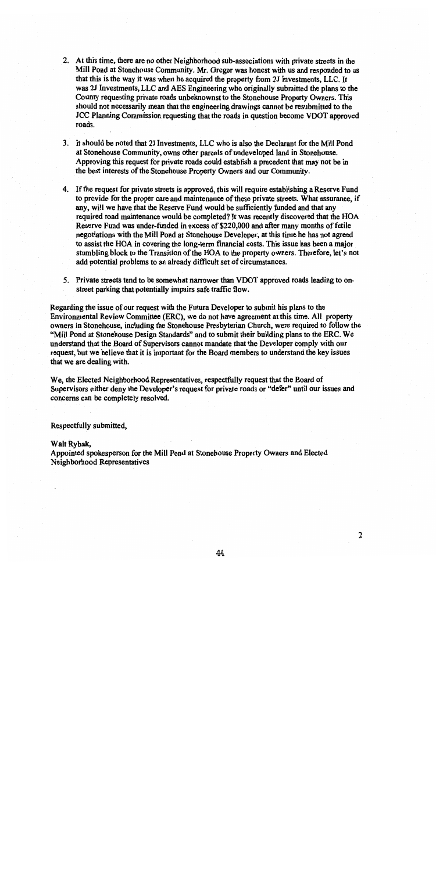- 2. At this time, there are no other Neighborhood sub-associations with private streets in the Mill Pond at Stonehouse Community. Mr. Gregor was honest with us and responded to us that this is the way it was when he acquired the property from 2J Investments, LLC. It was 2J Investments, LLC and AES Engineering who originally submitted the plans to the County requesting private roads unbeknownst to the Stonehouse Property Owners. This should not necessarily mean that the engineering drawings cannot be resubmitted to the JCC Planning Commission requesting that the roads in question become VDOT approved roads.
- 3. It should be noted that 2J Investments, LLC who is also the Declarant for the Mill Pond at Stonehouse Community, owns other parcels of undeveloped land in Stonehouse. Approving this request for private roads could establish a precedent that may not be in the best interests of the Stonehouse Property Owners and our Community.
- 4. If the request for private streets is approved, this will require establishing a Reserve Fund to provide for the proper care and maintenance of these private streets. What assurance, if any, will we have that the Reserve Fund would be sufficiently funded and that any required road maintenance would be completed? It was recently discovered that the HOA Reserve Fund was under-funded in excess of \$220,000 and after many months of futile negotiations with the Mill Pond at Stonehouse Developer, at this time he has not agreed to assist the HOA in covering the long-term financial costs. This issue has been a major stumbling block to the Transition of the HOA to the property owners. Therefore, let's not add potential problems to an already difficult set of circumstances.
- 5. Private streets tend to be somewhat narrower than VDOT approved roads leading to onstreet parking that potentially impairs safe traffic flow.

Regarding the issue of our request with the Futura Developer to submit his plans to the Environmental Review Committee (ERC), we do not have agreement at this time. All property owners in Stonehouse, including the Stonehouse Presbyterian Church, were required to follow the "Mill Pond at Stonehouse Design Standards" and to submit their building plans to the ERC. We understand that the Board of Supervisors cannot mandate that the Developer comply with our request, but we believe that it is important for the Board members to understand the key issues that we are dealing with.

We, the Elected Neighborhood Representatives, respectfully request that the Board of Supervisors either deny the Developer's request for private roads or "defer" until our issues and concerns can be completely resolved.

Respectfully submitted,

#### Walt Rybak,

Appointed spokesperson for the Mill Pond at Stonehouse Property Owners and Elected Neighborhood Representatives

 $\overline{2}$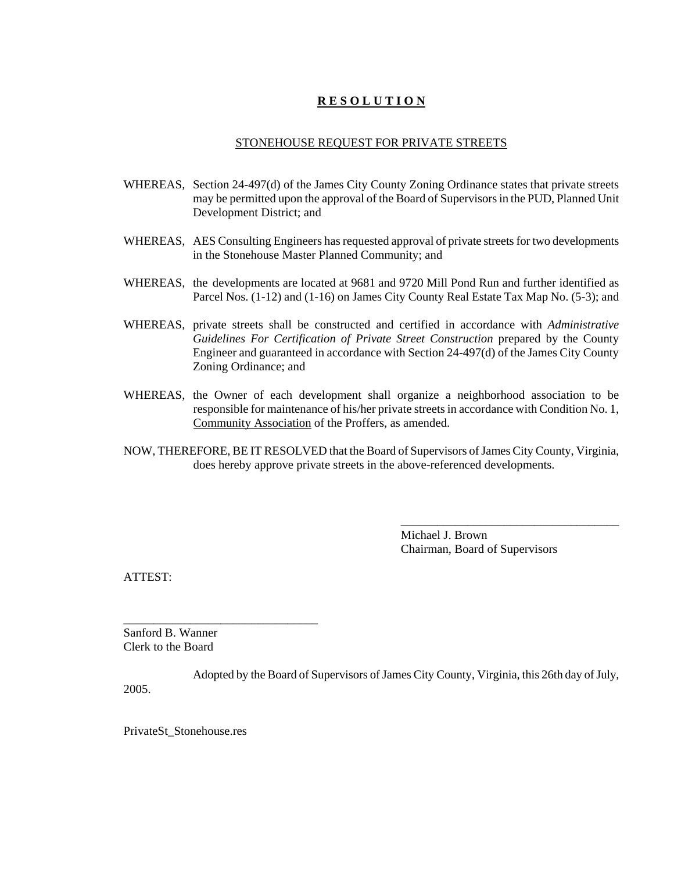## **R E S O L U T I O N**

#### STONEHOUSE REQUEST FOR PRIVATE STREETS

- WHEREAS, Section 24-497(d) of the James City County Zoning Ordinance states that private streets may be permitted upon the approval of the Board of Supervisors in the PUD, Planned Unit Development District; and
- WHEREAS, AES Consulting Engineers has requested approval of private streets for two developments in the Stonehouse Master Planned Community; and
- WHEREAS, the developments are located at 9681 and 9720 Mill Pond Run and further identified as Parcel Nos. (1-12) and (1-16) on James City County Real Estate Tax Map No. (5-3); and
- WHEREAS, private streets shall be constructed and certified in accordance with *Administrative Guidelines For Certification of Private Street Construction* prepared by the County Engineer and guaranteed in accordance with Section 24-497(d) of the James City County Zoning Ordinance; and
- WHEREAS, the Owner of each development shall organize a neighborhood association to be responsible for maintenance of his/her private streets in accordance with Condition No. 1, Community Association of the Proffers, as amended.
- NOW, THEREFORE, BE IT RESOLVED that the Board of Supervisors of James City County, Virginia, does hereby approve private streets in the above-referenced developments.

Michael J. Brown Chairman, Board of Supervisors

\_\_\_\_\_\_\_\_\_\_\_\_\_\_\_\_\_\_\_\_\_\_\_\_\_\_\_\_\_\_\_\_\_\_\_\_

ATTEST:

Sanford B. Wanner Clerk to the Board

\_\_\_\_\_\_\_\_\_\_\_\_\_\_\_\_\_\_\_\_\_\_\_\_\_\_\_\_\_\_\_\_

Adopted by the Board of Supervisors of James City County, Virginia, this 26th day of July, 2005.

PrivateSt\_Stonehouse.res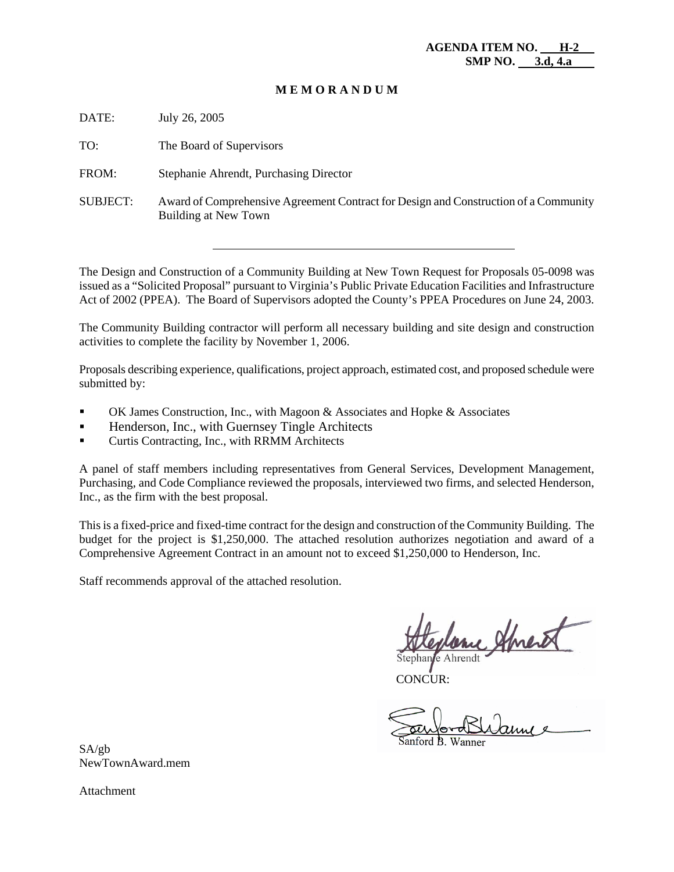#### **M E M O R A N D U M**

DATE: July 26, 2005

TO: The Board of Supervisors

FROM: Stephanie Ahrendt, Purchasing Director

SUBJECT: Award of Comprehensive Agreement Contract for Design and Construction of a Community Building at New Town

The Design and Construction of a Community Building at New Town Request for Proposals 05-0098 was issued as a "Solicited Proposal" pursuant to Virginia's Public Private Education Facilities and Infrastructure Act of 2002 (PPEA). The Board of Supervisors adopted the County's PPEA Procedures on June 24, 2003.

The Community Building contractor will perform all necessary building and site design and construction activities to complete the facility by November 1, 2006.

Proposals describing experience, qualifications, project approach, estimated cost, and proposed schedule were submitted by:

- OK James Construction, Inc., with Magoon & Associates and Hopke & Associates
- **Henderson, Inc., with Guernsey Tingle Architects**
- Curtis Contracting, Inc., with RRMM Architects

A panel of staff members including representatives from General Services, Development Management, Purchasing, and Code Compliance reviewed the proposals, interviewed two firms, and selected Henderson, Inc., as the firm with the best proposal.

This is a fixed-price and fixed-time contract for the design and construction of the Community Building. The budget for the project is \$1,250,000. The attached resolution authorizes negotiation and award of a Comprehensive Agreement Contract in an amount not to exceed \$1,250,000 to Henderson, Inc.

Staff recommends approval of the attached resolution.

y alment

e Ahrendt

CONCUR:

SA/gb NewTownAward.mem

Attachment